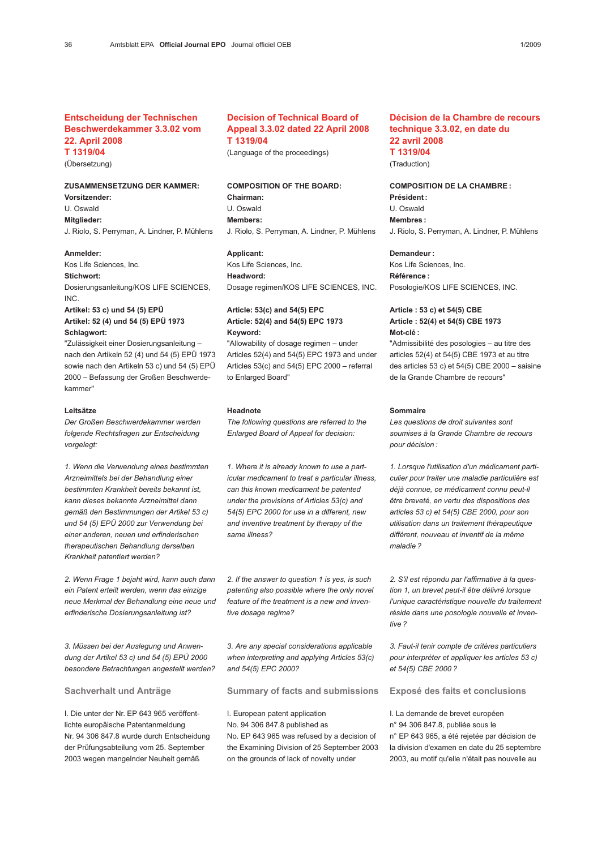## Entscheidung der Technischen Beschwerdekammer 3.3.02 vom 22. April 2008 T 1319/04

## (Übersetzung)

# ZUSAMMENSETZUNG DER KAMMER:

Vorsitzender:

U. Oswald

Mitglieder:

J. Riolo, S. Perryman, A. Lindner, P. Mühlens

## Anmelder:

Kos Life Sciences, Inc.

Stichwort: Dosierungsanleitung/KOS LIFE SCIENCES, INC.

Artikel: 53 c) und 54 (5) EPÜ Artikel: 52 (4) und 54 (5) EPÜ 1973 Schlagwort:

"Zulässigkeit einer Dosierungsanleitung – nach den Artikeln 52 (4) und 54 (5) EPÜ 1973 sowie nach den Artikeln 53 c) und 54 (5) EPÜ 2000 – Befassung der Großen Beschwerdekammer"

#### Leitsätze

Der Großen Beschwerdekammer werden folgende Rechtsfragen zur Entscheidung vorgelegt:

1. Wenn die Verwendung eines bestimmten Arzneimittels bei der Behandlung einer bestimmten Krankheit bereits bekannt ist, kann dieses bekannte Arzneimittel dann gemäß den Bestimmungen der Artikel 53 c) und 54 (5) EPÜ 2000 zur Verwendung bei einer anderen, neuen und erfinderischen therapeutischen Behandlung derselben Krankheit patentiert werden?

2. Wenn Frage 1 bejaht wird, kann auch dann ein Patent erteilt werden, wenn das einzige neue Merkmal der Behandlung eine neue und erfinderische Dosierungsanleitung ist?

3. Müssen bei der Auslegung und Anwendung der Artikel 53 c) und 54 (5) EPÜ 2000 besondere Betrachtungen angestellt werden?

Sachverhalt und Anträge

I. Die unter der Nr. EP 643 965 veröffentlichte europäische Patentanmeldung Nr. 94 306 847.8 wurde durch Entscheidung der Prüfungsabteilung vom 25. September 2003 wegen mangelnder Neuheit gemäß

## Decision of Technical Board of Appeal 3.3.02 dated 22 April 2008 T 1319/04

(Language of the proceedings)

## COMPOSITION OF THE BOARD:

Chairman: U. Oswald Members: J. Riolo, S. Perryman, A. Lindner, P. Mühlens

### Applicant:

Kos Life Sciences, Inc. Headword: Dosage regimen/KOS LIFE SCIENCES, INC.

## Article: 53(c) and 54(5) EPC Article: 52(4) and 54(5) EPC 1973 Keyword:

"Allowability of dosage regimen – under Articles 52(4) and 54(5) EPC 1973 and under Articles 53(c) and 54(5) EPC 2000 – referral to Enlarged Board"

#### Headnote

The following questions are referred to the Enlarged Board of Appeal for decision:

1. Where it is already known to use a particular medicament to treat a particular illness, can this known medicament be patented under the provisions of Articles 53(c) and 54(5) EPC 2000 for use in a different, new and inventive treatment by therapy of the same illness?

2. If the answer to question 1 is yes, is such patenting also possible where the only novel feature of the treatment is a new and inventive dosage regime?

3. Are any special considerations applicable when interpreting and applying Articles 53(c) and 54(5) EPC 2000?

Summary of facts and submissions

I. European patent application No. 94 306 847.8 published as No. EP 643 965 was refused by a decision of the Examining Division of 25 September 2003 on the grounds of lack of novelty under

## Décision de la Chambre de recours technique 3.3.02, en date du 22 avril 2008 T 1319/04

(Traduction)

## COMPOSITION DE LA CHAMBRE : Président : U. Oswald Membres : J. Riolo, S. Perryman, A. Lindner, P. Mühlens

Demandeur :

Kos Life Sciences, Inc. Référence : Posologie/KOS LIFE SCIENCES, INC.

## Article : 53 c) et 54(5) CBE Article : 52(4) et 54(5) CBE 1973 Mot-clé :

"Admissibilité des posologies – au titre des articles 52(4) et 54(5) CBE 1973 et au titre des articles 53 c) et 54(5) CBE 2000 – saisine de la Grande Chambre de recours"

#### Sommaire

Les questions de droit suivantes sont soumises à la Grande Chambre de recours pour décision :

1. Lorsque l'utilisation d'un médicament particulier pour traiter une maladie particulière est déjà connue, ce médicament connu peut-il être breveté, en vertu des dispositions des articles 53 c) et 54(5) CBE 2000, pour son utilisation dans un traitement thérapeutique différent, nouveau et inventif de la même maladie ?

2. S'il est répondu par l'affirmative à la question 1, un brevet peut-il être délivré lorsque l'unique caractéristique nouvelle du traitement réside dans une posologie nouvelle et inventive ?

3. Faut-il tenir compte de critères particuliers pour interpréter et appliquer les articles 53 c) et 54(5) CBE 2000 ?

Exposé des faits et conclusions

I. La demande de brevet européen n° 94 306 847.8, publiée sous le n° EP 643 965, a été rejetée par décision de la division d'examen en date du 25 septembre 2003, au motif qu'elle n'était pas nouvelle au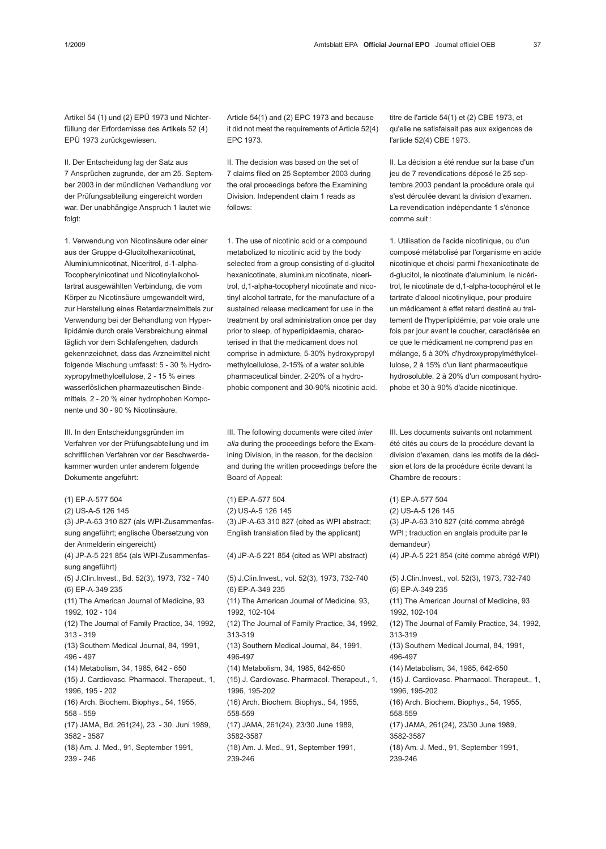Artikel 54 (1) und (2) EPÜ 1973 und Nichterfüllung der Erfordernisse des Artikels 52 (4) EPÜ 1973 zurückgewiesen.

II. Der Entscheidung lag der Satz aus 7 Ansprüchen zugrunde, der am 25. September 2003 in der mündlichen Verhandlung vor der Prüfungsabteilung eingereicht worden war. Der unabhängige Anspruch 1 lautet wie folgt:

1. Verwendung von Nicotinsäure oder einer aus der Gruppe d-Glucitolhexanicotinat, Aluminiumnicotinat, Niceritrol, d-1-alpha-Tocopherylnicotinat und Nicotinylalkoholtartrat ausgewählten Verbindung, die vom Körper zu Nicotinsäure umgewandelt wird, zur Herstellung eines Retardarzneimittels zur Verwendung bei der Behandlung von Hyperlipidämie durch orale Verabreichung einmal täglich vor dem Schlafengehen, dadurch gekennzeichnet, dass das Arzneimittel nicht folgende Mischung umfasst: 5 - 30 % Hydroxypropylmethylcellulose, 2 - 15 % eines wasserlöslichen pharmazeutischen Bindemittels, 2 - 20 % einer hydrophoben Komponente und 30 - 90 % Nicotinsäure.

III. In den Entscheidungsgründen im Verfahren vor der Prüfungsabteilung und im schriftlichen Verfahren vor der Beschwerdekammer wurden unter anderem folgende Dokumente angeführt:

(1) EP-A-577 504 (2) US-A-5 126 145 (3) JP-A-63 310 827 (als WPI-Zusammenfassung angeführt; englische Übersetzung von der Anmelderin eingereicht) (4) JP-A-5 221 854 (als WPI-Zusammenfassung angeführt) (5) J.Clin.Invest., Bd. 52(3), 1973, 732 - 740 (6) EP-A-349 235 (11) The American Journal of Medicine, 93 1992, 102 - 104 (12) The Journal of Family Practice, 34, 1992, 313 - 319 (13) Southern Medical Journal, 84, 1991, 496 - 497 (14) Metabolism, 34, 1985, 642 - 650 (15) J. Cardiovasc. Pharmacol. Therapeut., 1, 1996, 195 - 202 (16) Arch. Biochem. Biophys., 54, 1955, 558 - 559 (17) JAMA, Bd. 261(24), 23. - 30. Juni 1989, 3582 - 3587 (18) Am. J. Med., 91, September 1991, 239 - 246

Article 54(1) and (2) EPC 1973 and because it did not meet the requirements of Article 52(4) EPC 1973.

II. The decision was based on the set of 7 claims filed on 25 September 2003 during the oral proceedings before the Examining Division. Independent claim 1 reads as follows:

1. The use of nicotinic acid or a compound metabolized to nicotinic acid by the body selected from a group consisting of d-glucitol hexanicotinate, aluminium nicotinate, niceritrol, d,1-alpha-tocopheryl nicotinate and nicotinyl alcohol tartrate, for the manufacture of a sustained release medicament for use in the treatment by oral administration once per day prior to sleep, of hyperlipidaemia, characterised in that the medicament does not comprise in admixture, 5-30% hydroxypropyl methylcellulose, 2-15% of a water soluble pharmaceutical binder, 2-20% of a hydrophobic component and 30-90% nicotinic acid.

III. The following documents were cited inter alia during the proceedings before the Examining Division, in the reason, for the decision and during the written proceedings before the Board of Appeal:

(1) EP-A-577 504 (2) US-A-5 126 145 (3) JP-A-63 310 827 (cited as WPI abstract; English translation filed by the applicant) (4) JP-A-5 221 854 (cited as WPI abstract) (5) J.Clin.Invest., vol. 52(3), 1973, 732-740 (6) EP-A-349 235 (11) The American Journal of Medicine, 93, 1992, 102-104 (12) The Journal of Family Practice, 34, 1992, 313-319 (13) Southern Medical Journal, 84, 1991, 496-497 (14) Metabolism, 34, 1985, 642-650 (15) J. Cardiovasc. Pharmacol. Therapeut., 1, 1996, 195-202 (16) Arch. Biochem. Biophys., 54, 1955, 558-559 (17) JAMA, 261(24), 23/30 June 1989, 3582-3587 (18) Am. J. Med., 91, September 1991, 239-246

titre de l'article 54(1) et (2) CBE 1973, et qu'elle ne satisfaisait pas aux exigences de l'article 52(4) CBE 1973.

II. La décision a été rendue sur la base d'un jeu de 7 revendications déposé le 25 septembre 2003 pendant la procédure orale qui s'est déroulée devant la division d'examen. La revendication indépendante 1 s'énonce comme suit :

1. Utilisation de l'acide nicotinique, ou d'un composé métabolisé par l'organisme en acide nicotinique et choisi parmi l'hexanicotinate de d-glucitol, le nicotinate d'aluminium, le nicéritrol, le nicotinate de d,1-alpha-tocophérol et le tartrate d'alcool nicotinylique, pour produire un médicament à effet retard destiné au traitement de l'hyperlipidémie, par voie orale une fois par jour avant le coucher, caractérisée en ce que le médicament ne comprend pas en mélange, 5 à 30% d'hydroxypropylméthylcellulose, 2 à 15% d'un liant pharmaceutique hydrosoluble, 2 à 20% d'un composant hydrophobe et 30 à 90% d'acide nicotinique.

III. Les documents suivants ont notamment été cités au cours de la procédure devant la division d'examen, dans les motifs de la décision et lors de la procédure écrite devant la Chambre de recours :

(1) EP-A-577 504 (2) US-A-5 126 145 (3) JP-A-63 310 827 (cité comme abrégé WPI ; traduction en anglais produite par le demandeur) (4) JP-A-5 221 854 (cité comme abrégé WPI) (5) J.Clin.Invest., vol. 52(3), 1973, 732-740 (6) EP-A-349 235 (11) The American Journal of Medicine, 93 1992, 102-104 (12) The Journal of Family Practice, 34, 1992, 313-319 (13) Southern Medical Journal, 84, 1991, 496-497 (14) Metabolism, 34, 1985, 642-650 (15) J. Cardiovasc. Pharmacol. Therapeut., 1, 1996, 195-202 (16) Arch. Biochem. Biophys., 54, 1955, 558-559 (17) JAMA, 261(24), 23/30 June 1989, 3582-3587 (18) Am. J. Med., 91, September 1991, 239-246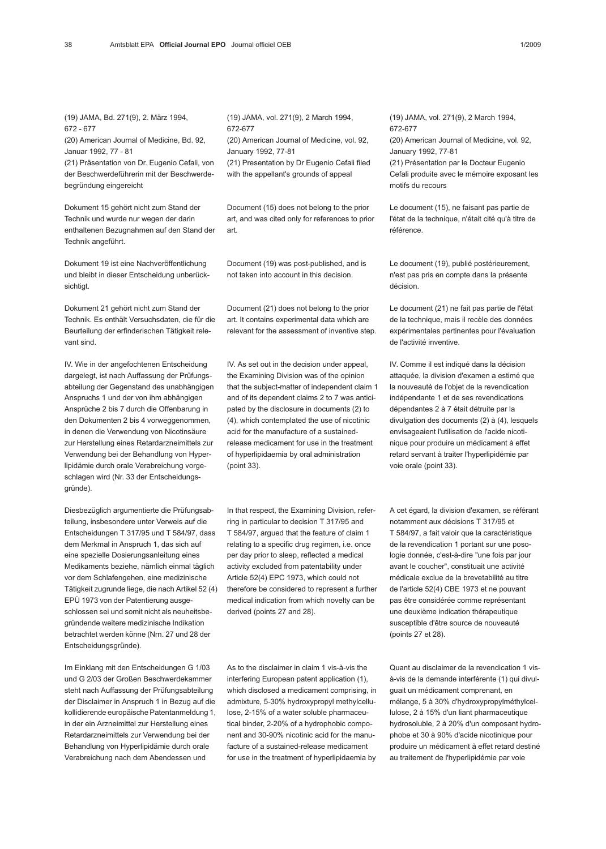(19) JAMA, Bd. 271(9), 2. März 1994, 672 - 677

(20) American Journal of Medicine, Bd. 92, Januar 1992, 77 - 81

(21) Präsentation von Dr. Eugenio Cefali, von der Beschwerdeführerin mit der Beschwerdebegründung eingereicht

Dokument 15 gehört nicht zum Stand der Technik und wurde nur wegen der darin enthaltenen Bezugnahmen auf den Stand der Technik angeführt.

Dokument 19 ist eine Nachveröffentlichung und bleibt in dieser Entscheidung unberücksichtigt.

Dokument 21 gehört nicht zum Stand der Technik. Es enthält Versuchsdaten, die für die Beurteilung der erfinderischen Tätigkeit relevant sind.

IV. Wie in der angefochtenen Entscheidung dargelegt, ist nach Auffassung der Prüfungsabteilung der Gegenstand des unabhängigen Anspruchs 1 und der von ihm abhängigen Ansprüche 2 bis 7 durch die Offenbarung in den Dokumenten 2 bis 4 vorweggenommen, in denen die Verwendung von Nicotinsäure zur Herstellung eines Retardarzneimittels zur Verwendung bei der Behandlung von Hyperlipidämie durch orale Verabreichung vorgeschlagen wird (Nr. 33 der Entscheidungsgründe).

Diesbezüglich argumentierte die Prüfungsabteilung, insbesondere unter Verweis auf die Entscheidungen T 317/95 und T 584/97, dass dem Merkmal in Anspruch 1, das sich auf eine spezielle Dosierungsanleitung eines Medikaments beziehe, nämlich einmal täglich vor dem Schlafengehen, eine medizinische Tätigkeit zugrunde liege, die nach Artikel 52 (4) EPÜ 1973 von der Patentierung ausgeschlossen sei und somit nicht als neuheitsbegründende weitere medizinische Indikation betrachtet werden könne (Nrn. 27 und 28 der Entscheidungsgründe).

Im Einklang mit den Entscheidungen G 1/03 und G 2/03 der Großen Beschwerdekammer steht nach Auffassung der Prüfungsabteilung der Disclaimer in Anspruch 1 in Bezug auf die kollidierende europäische Patentanmeldung 1, in der ein Arzneimittel zur Herstellung eines Retardarzneimittels zur Verwendung bei der Behandlung von Hyperlipidämie durch orale Verabreichung nach dem Abendessen und

(19) JAMA, vol. 271(9), 2 March 1994, 672-677 (20) American Journal of Medicine, vol. 92, January 1992, 77-81 (21) Presentation by Dr Eugenio Cefali filed

with the appellant's grounds of appeal

Document (15) does not belong to the prior art, and was cited only for references to prior art.

Document (19) was post-published, and is not taken into account in this decision.

Document (21) does not belong to the prior art. It contains experimental data which are relevant for the assessment of inventive step.

IV. As set out in the decision under appeal, the Examining Division was of the opinion that the subject-matter of independent claim 1 and of its dependent claims 2 to 7 was anticipated by the disclosure in documents (2) to (4), which contemplated the use of nicotinic acid for the manufacture of a sustainedrelease medicament for use in the treatment of hyperlipidaemia by oral administration (point 33).

In that respect, the Examining Division, referring in particular to decision T 317/95 and T 584/97, argued that the feature of claim 1 relating to a specific drug regimen, i.e. once per day prior to sleep, reflected a medical activity excluded from patentability under Article 52(4) EPC 1973, which could not therefore be considered to represent a further medical indication from which novelty can be derived (points 27 and 28).

As to the disclaimer in claim 1 vis-à-vis the interfering European patent application (1), which disclosed a medicament comprising, in admixture, 5-30% hydroxypropyl methylcellulose, 2-15% of a water soluble pharmaceutical binder, 2-20% of a hydrophobic component and 30-90% nicotinic acid for the manufacture of a sustained-release medicament for use in the treatment of hyperlipidaemia by (19) JAMA, vol. 271(9), 2 March 1994, 672-677 (20) American Journal of Medicine, vol. 92, January 1992, 77-81 (21) Présentation par le Docteur Eugenio Cefali produite avec le mémoire exposant les motifs du recours

Le document (15), ne faisant pas partie de l'état de la technique, n'était cité qu'à titre de référence.

Le document (19), publié postérieurement, n'est pas pris en compte dans la présente décision.

Le document (21) ne fait pas partie de l'état de la technique, mais il recèle des données expérimentales pertinentes pour l'évaluation de l'activité inventive.

IV. Comme il est indiqué dans la décision attaquée, la division d'examen a estimé que la nouveauté de l'objet de la revendication indépendante 1 et de ses revendications dépendantes 2 à 7 était détruite par la divulgation des documents (2) à (4), lesquels envisageaient l'utilisation de l'acide nicotinique pour produire un médicament à effet retard servant à traiter l'hyperlipidémie par voie orale (point 33).

A cet égard, la division d'examen, se référant notamment aux décisions T 317/95 et T 584/97, a fait valoir que la caractéristique de la revendication 1 portant sur une posologie donnée, c'est-à-dire "une fois par jour avant le coucher", constituait une activité médicale exclue de la brevetabilité au titre de l'article 52(4) CBE 1973 et ne pouvant pas être considérée comme représentant une deuxième indication thérapeutique susceptible d'être source de nouveauté (points 27 et 28).

Quant au disclaimer de la revendication 1 visà-vis de la demande interférente (1) qui divulguait un médicament comprenant, en mélange, 5 à 30% d'hydroxypropylméthylcellulose, 2 à 15% d'un liant pharmaceutique hydrosoluble, 2 à 20% d'un composant hydrophobe et 30 à 90% d'acide nicotinique pour produire un médicament à effet retard destiné au traitement de l'hyperlipidémie par voie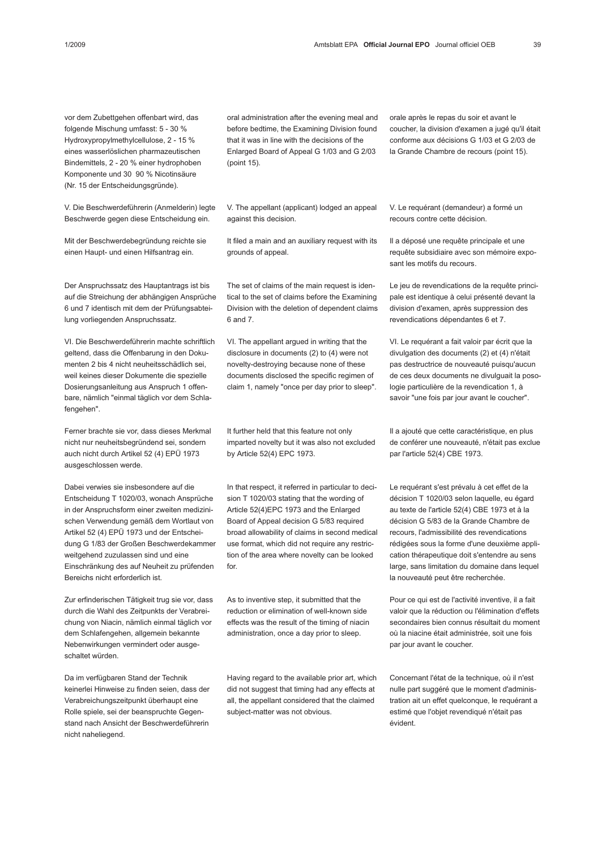vor dem Zubettgehen offenbart wird, das folgende Mischung umfasst: 5 - 30 % Hydroxypropylmethylcellulose, 2 - 15 % eines wasserlöslichen pharmazeutischen Bindemittels, 2 - 20 % einer hydrophoben Komponente und 30 90 % Nicotinsäure (Nr. 15 der Entscheidungsgründe).

V. Die Beschwerdeführerin (Anmelderin) legte Beschwerde gegen diese Entscheidung ein.

Mit der Beschwerdebegründung reichte sie einen Haupt- und einen Hilfsantrag ein.

Der Anspruchssatz des Hauptantrags ist bis auf die Streichung der abhängigen Ansprüche 6 und 7 identisch mit dem der Prüfungsabteilung vorliegenden Anspruchssatz.

VI. Die Beschwerdeführerin machte schriftlich geltend, dass die Offenbarung in den Dokumenten 2 bis 4 nicht neuheitsschädlich sei, weil keines dieser Dokumente die spezielle Dosierungsanleitung aus Anspruch 1 offenbare, nämlich "einmal täglich vor dem Schlafengehen".

Ferner brachte sie vor, dass dieses Merkmal nicht nur neuheitsbegründend sei, sondern auch nicht durch Artikel 52 (4) EPÜ 1973 ausgeschlossen werde.

Dabei verwies sie insbesondere auf die Entscheidung T 1020/03, wonach Ansprüche in der Anspruchsform einer zweiten medizinischen Verwendung gemäß dem Wortlaut von Artikel 52 (4) EPÜ 1973 und der Entscheidung G 1/83 der Großen Beschwerdekammer weitgehend zuzulassen sind und eine Einschränkung des auf Neuheit zu prüfenden Bereichs nicht erforderlich ist.

Zur erfinderischen Tätigkeit trug sie vor, dass durch die Wahl des Zeitpunkts der Verabreichung von Niacin, nämlich einmal täglich vor dem Schlafengehen, allgemein bekannte Nebenwirkungen vermindert oder ausgeschaltet würden.

Da im verfügbaren Stand der Technik keinerlei Hinweise zu finden seien, dass der Verabreichungszeitpunkt überhaupt eine Rolle spiele, sei der beanspruchte Gegenstand nach Ansicht der Beschwerdeführerin nicht naheliegend.

oral administration after the evening meal and before bedtime, the Examining Division found that it was in line with the decisions of the Enlarged Board of Appeal G 1/03 and G 2/03 (point 15).

V. The appellant (applicant) lodged an appeal against this decision.

It filed a main and an auxiliary request with its grounds of appeal.

The set of claims of the main request is identical to the set of claims before the Examining Division with the deletion of dependent claims 6 and 7.

VI. The appellant argued in writing that the disclosure in documents (2) to (4) were not novelty-destroying because none of these documents disclosed the specific regimen of claim 1, namely "once per day prior to sleep".

It further held that this feature not only imparted novelty but it was also not excluded by Article 52(4) EPC 1973.

In that respect, it referred in particular to decision T 1020/03 stating that the wording of Article 52(4)EPC 1973 and the Enlarged Board of Appeal decision G 5/83 required broad allowability of claims in second medical use format, which did not require any restriction of the area where novelty can be looked for.

As to inventive step, it submitted that the reduction or elimination of well-known side effects was the result of the timing of niacin administration, once a day prior to sleep.

Having regard to the available prior art, which did not suggest that timing had any effects at all, the appellant considered that the claimed subject-matter was not obvious.

orale après le repas du soir et avant le coucher, la division d'examen a jugé qu'il était conforme aux décisions G 1/03 et G 2/03 de la Grande Chambre de recours (point 15).

V. Le requérant (demandeur) a formé un recours contre cette décision.

Il a déposé une requête principale et une requête subsidiaire avec son mémoire exposant les motifs du recours.

Le jeu de revendications de la requête principale est identique à celui présenté devant la division d'examen, après suppression des revendications dépendantes 6 et 7.

VI. Le requérant a fait valoir par écrit que la divulgation des documents (2) et (4) n'était pas destructrice de nouveauté puisqu'aucun de ces deux documents ne divulguait la posologie particulière de la revendication 1, à savoir "une fois par jour avant le coucher".

Il a ajouté que cette caractéristique, en plus de conférer une nouveauté, n'était pas exclue par l'article 52(4) CBE 1973.

Le requérant s'est prévalu à cet effet de la décision T 1020/03 selon laquelle, eu égard au texte de l'article 52(4) CBE 1973 et à la décision G 5/83 de la Grande Chambre de recours, l'admissibilité des revendications rédigées sous la forme d'une deuxième application thérapeutique doit s'entendre au sens large, sans limitation du domaine dans lequel la nouveauté peut être recherchée.

Pour ce qui est de l'activité inventive, il a fait valoir que la réduction ou l'élimination d'effets secondaires bien connus résultait du moment où la niacine était administrée, soit une fois par jour avant le coucher.

Concernant l'état de la technique, où il n'est nulle part suggéré que le moment d'administration ait un effet quelconque, le requérant a estimé que l'objet revendiqué n'était pas évident.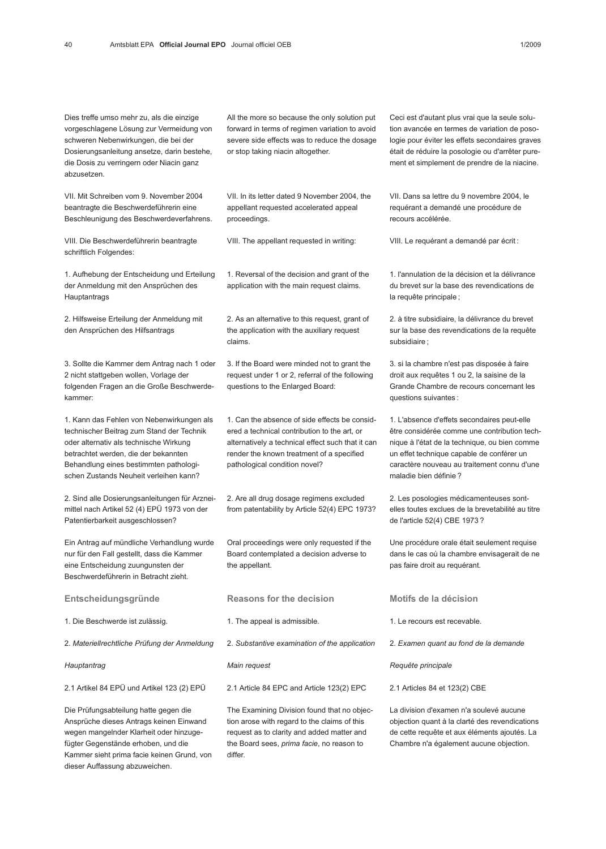Dies treffe umso mehr zu, als die einzige vorgeschlagene Lösung zur Vermeidung von schweren Nebenwirkungen, die bei der Dosierungsanleitung ansetze, darin bestehe, die Dosis zu verringern oder Niacin ganz abzusetzen.

VII. Mit Schreiben vom 9. November 2004 beantragte die Beschwerdeführerin eine Beschleunigung des Beschwerdeverfahrens.

VIII. Die Beschwerdeführerin beantragte schriftlich Folgendes:

1. Aufhebung der Entscheidung und Erteilung der Anmeldung mit den Ansprüchen des Hauptantrags

2. Hilfsweise Erteilung der Anmeldung mit den Ansprüchen des Hilfsantrags

3. Sollte die Kammer dem Antrag nach 1 oder 2 nicht stattgeben wollen, Vorlage der folgenden Fragen an die Große Beschwerdekammer:

1. Kann das Fehlen von Nebenwirkungen als technischer Beitrag zum Stand der Technik oder alternativ als technische Wirkung betrachtet werden, die der bekannten Behandlung eines bestimmten pathologischen Zustands Neuheit verleihen kann?

2. Sind alle Dosierungsanleitungen für Arzneimittel nach Artikel 52 (4) EPÜ 1973 von der Patentierbarkeit ausgeschlossen?

Ein Antrag auf mündliche Verhandlung wurde nur für den Fall gestellt, dass die Kammer eine Entscheidung zuungunsten der Beschwerdeführerin in Betracht zieht.

Entscheidungsgründe

1. Die Beschwerde ist zulässig.

2. Materiellrechtliche Prüfung der Anmeldung

**Hauptantrag** 

2.1 Artikel 84 EPÜ und Artikel 123 (2) EPÜ

Die Prüfungsabteilung hatte gegen die Ansprüche dieses Antrags keinen Einwand wegen mangelnder Klarheit oder hinzugefügter Gegenstände erhoben, und die Kammer sieht prima facie keinen Grund, von dieser Auffassung abzuweichen.

All the more so because the only solution put forward in terms of regimen variation to avoid severe side effects was to reduce the dosage or stop taking niacin altogether.

VII. In its letter dated 9 November 2004, the appellant requested accelerated appeal proceedings.

VIII. The appellant requested in writing:

1. Reversal of the decision and grant of the application with the main request claims.

2. As an alternative to this request, grant of the application with the auxiliary request claims.

3. If the Board were minded not to grant the request under 1 or 2, referral of the following questions to the Enlarged Board:

1. Can the absence of side effects be considered a technical contribution to the art, or alternatively a technical effect such that it can render the known treatment of a specified pathological condition novel?

2. Are all drug dosage regimens excluded from patentability by Article 52(4) EPC 1973?

Oral proceedings were only requested if the Board contemplated a decision adverse to the appellant.

Reasons for the decision

1. The appeal is admissible.

2. Substantive examination of the application

Main request

2.1 Article 84 EPC and Article 123(2) EPC

The Examining Division found that no objection arose with regard to the claims of this request as to clarity and added matter and the Board sees, prima facie, no reason to differ.

Ceci est d'autant plus vrai que la seule solution avancée en termes de variation de posologie pour éviter les effets secondaires graves était de réduire la posologie ou d'arrêter purement et simplement de prendre de la niacine.

VII. Dans sa lettre du 9 novembre 2004, le requérant a demandé une procédure de recours accélérée.

VIII. Le requérant a demandé par écrit :

1. l'annulation de la décision et la délivrance du brevet sur la base des revendications de la requête principale ;

2. à titre subsidiaire, la délivrance du brevet sur la base des revendications de la requête subsidiaire ;

3. si la chambre n'est pas disposée à faire droit aux requêtes 1 ou 2, la saisine de la Grande Chambre de recours concernant les questions suivantes :

1. L'absence d'effets secondaires peut-elle être considérée comme une contribution technique à l'état de la technique, ou bien comme un effet technique capable de conférer un caractère nouveau au traitement connu d'une maladie bien définie ?

2. Les posologies médicamenteuses sontelles toutes exclues de la brevetabilité au titre de l'article 52(4) CBE 1973 ?

Une procédure orale était seulement requise dans le cas où la chambre envisagerait de ne pas faire droit au requérant.

Motifs de la décision

1. Le recours est recevable.

2. Examen quant au fond de la demande

Requête principale

2.1 Articles 84 et 123(2) CBE

La division d'examen n'a soulevé aucune objection quant à la clarté des revendications de cette requête et aux éléments ajoutés. La Chambre n'a également aucune objection.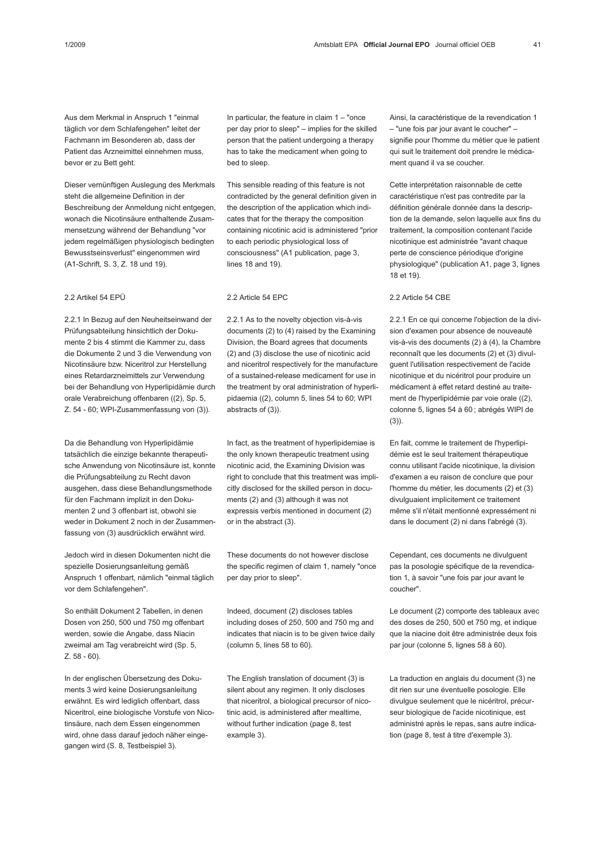Aus dem Merkmal in Anspruch 1 "einmal täglich vor dem Schlafengehen" leitet der Fachmann im Besonderen ab, dass der Patient das Arzneimittel einnehmen muss, bevor er zu Bett geht.

Dieser vernünftigen Auslegung des Merkmals steht die allgemeine Definition in der Beschreibung der Anmeldung nicht entgegen, wonach die Nicotinsäure enthaltende Zusammensetzung während der Behandlung "vor jedem regelmäßigen physiologisch bedingten Bewusstseinsverlust" eingenommen wird (A1-Schrift, S. 3, Z. 18 und 19).

## 2.2 Artikel 54 EPÜ

2.2.1 In Bezug auf den Neuheitseinwand der Prüfungsabteilung hinsichtlich der Dokumente 2 bis 4 stimmt die Kammer zu, dass die Dokumente 2 und 3 die Verwendung von Nicotinsäure bzw. Niceritrol zur Herstellung eines Retardarzneimittels zur Verwendung bei der Behandlung von Hyperlipidämie durch orale Verabreichung offenbaren ((2), Sp. 5, Z. 54 - 60; WPI-Zusammenfassung von (3)).

Da die Behandlung von Hyperlipidämie tatsächlich die einzige bekannte therapeutische Anwendung von Nicotinsäure ist, konnte die Prüfungsabteilung zu Recht davon ausgehen, dass diese Behandlungsmethode für den Fachmann implizit in den Dokumenten 2 und 3 offenbart ist, obwohl sie weder in Dokument 2 noch in der Zusammenfassung von (3) ausdrücklich erwähnt wird.

Jedoch wird in diesen Dokumenten nicht die spezielle Dosierungsanleitung gemäß Anspruch 1 offenbart, nämlich "einmal täglich vor dem Schlafengehen".

So enthält Dokument 2 Tabellen, in denen Dosen von 250, 500 und 750 mg offenbart werden, sowie die Angabe, dass Niacin zweimal am Tag verabreicht wird (Sp. 5, Z. 58 - 60).

In der englischen Übersetzung des Dokuments 3 wird keine Dosierungsanleitung erwähnt. Es wird lediglich offenbart, dass Niceritrol, eine biologische Vorstufe von Nicotinsäure, nach dem Essen eingenommen wird, ohne dass darauf jedoch näher eingegangen wird (S. 8, Testbeispiel 3).

In particular, the feature in claim 1 – "once per day prior to sleep" – implies for the skilled person that the patient undergoing a therapy has to take the medicament when going to bed to sleep.

This sensible reading of this feature is not contradicted by the general definition given in the description of the application which indicates that for the therapy the composition containing nicotinic acid is administered "prior to each periodic physiological loss of consciousness" (A1 publication, page 3, lines 18 and 19).

### 2.2 Article 54 EPC

2.2.1 As to the novelty objection vis-à-vis documents (2) to (4) raised by the Examining Division, the Board agrees that documents (2) and (3) disclose the use of nicotinic acid and niceritrol respectively for the manufacture of a sustained-release medicament for use in the treatment by oral administration of hyperlipidaemia ((2), column 5, lines 54 to 60; WPI abstracts of (3)).

In fact, as the treatment of hyperlipidemiae is the only known therapeutic treatment using nicotinic acid, the Examining Division was right to conclude that this treatment was implicitly disclosed for the skilled person in documents (2) and (3) although it was not expressis verbis mentioned in document (2) or in the abstract (3).

These documents do not however disclose the specific regimen of claim 1, namely "once per day prior to sleep".

Indeed, document (2) discloses tables including doses of 250, 500 and 750 mg and indicates that niacin is to be given twice daily (column 5, lines 58 to 60).

The English translation of document (3) is silent about any regimen. It only discloses that niceritrol, a biological precursor of nicotinic acid, is administered after mealtime, without further indication (page 8, test example 3).

Ainsi, la caractéristique de la revendication 1 – "une fois par jour avant le coucher" – signifie pour l'homme du métier que le patient qui suit le traitement doit prendre le médicament quand il va se coucher.

Cette interprétation raisonnable de cette caractéristique n'est pas contredite par la définition générale donnée dans la description de la demande, selon laquelle aux fins du traitement, la composition contenant l'acide nicotinique est administrée "avant chaque perte de conscience périodique d'origine physiologique" (publication A1, page 3, lignes 18 et 19).

## 2.2 Article 54 CBE

2.2.1 En ce qui concerne l'objection de la division d'examen pour absence de nouveauté vis-à-vis des documents (2) à (4), la Chambre reconnaît que les documents (2) et (3) divulguent l'utilisation respectivement de l'acide nicotinique et du nicéritrol pour produire un médicament à effet retard destiné au traitement de l'hyperlipidémie par voie orale ((2), colonne 5, lignes 54 à 60 ; abrégés WIPI de  $(3)$ ).

En fait, comme le traitement de l'hyperlipidémie est le seul traitement thérapeutique connu utilisant l'acide nicotinique, la division d'examen a eu raison de conclure que pour l'homme du métier, les documents (2) et (3) divulguaient implicitement ce traitement même s'il n'était mentionné expressément ni dans le document (2) ni dans l'abrégé (3).

Cependant, ces documents ne divulguent pas la posologie spécifique de la revendication 1, à savoir "une fois par jour avant le coucher".

Le document (2) comporte des tableaux avec des doses de 250, 500 et 750 mg, et indique que la niacine doit être administrée deux fois par jour (colonne 5, lignes 58 à 60).

La traduction en anglais du document (3) ne dit rien sur une éventuelle posologie. Elle divulgue seulement que le nicéritrol, précurseur biologique de l'acide nicotinique, est administré après le repas, sans autre indication (page 8, test à titre d'exemple 3).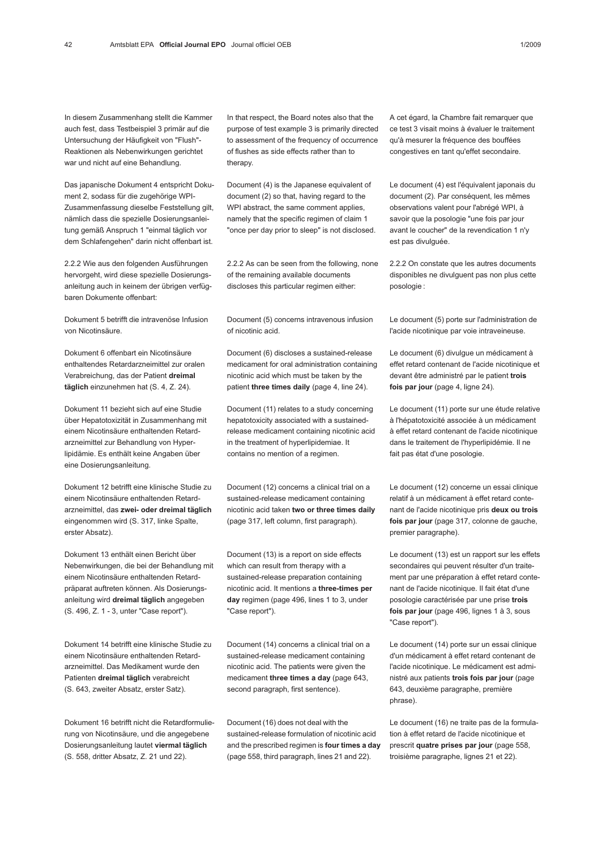In diesem Zusammenhang stellt die Kammer auch fest, dass Testbeispiel 3 primär auf die Untersuchung der Häufigkeit von "Flush"- Reaktionen als Nebenwirkungen gerichtet war und nicht auf eine Behandlung.

Das japanische Dokument 4 entspricht Dokument 2, sodass für die zugehörige WPI-Zusammenfassung dieselbe Feststellung gilt, nämlich dass die spezielle Dosierungsanleitung gemäß Anspruch 1 "einmal täglich vor dem Schlafengehen" darin nicht offenbart ist.

2.2.2 Wie aus den folgenden Ausführungen hervorgeht, wird diese spezielle Dosierungsanleitung auch in keinem der übrigen verfügbaren Dokumente offenbart:

Dokument 5 betrifft die intravenöse Infusion von Nicotinsäure.

Dokument 6 offenbart ein Nicotinsäure enthaltendes Retardarzneimittel zur oralen Verabreichung, das der Patient dreimal täglich einzunehmen hat (S. 4, Z. 24).

Dokument 11 bezieht sich auf eine Studie über Hepatotoxizität in Zusammenhang mit einem Nicotinsäure enthaltenden Retardarzneimittel zur Behandlung von Hyperlipidämie. Es enthält keine Angaben über eine Dosierungsanleitung.

Dokument 12 betrifft eine klinische Studie zu einem Nicotinsäure enthaltenden Retardarzneimittel, das zwei- oder dreimal täglich eingenommen wird (S. 317, linke Spalte, erster Absatz).

Dokument 13 enthält einen Bericht über Nebenwirkungen, die bei der Behandlung mit einem Nicotinsäure enthaltenden Retardpräparat auftreten können. Als Dosierungsanleitung wird dreimal täglich angegeben (S. 496, Z. 1 - 3, unter "Case report").

Dokument 14 betrifft eine klinische Studie zu einem Nicotinsäure enthaltenden Retardarzneimittel. Das Medikament wurde den Patienten dreimal täglich verabreicht (S. 643, zweiter Absatz, erster Satz).

Dokument 16 betrifft nicht die Retardformulierung von Nicotinsäure, und die angegebene Dosierungsanleitung lautet viermal täglich (S. 558, dritter Absatz, Z. 21 und 22).

In that respect, the Board notes also that the purpose of test example 3 is primarily directed to assessment of the frequency of occurrence of flushes as side effects rather than to therapy.

Document (4) is the Japanese equivalent of document (2) so that, having regard to the WPI abstract, the same comment applies, namely that the specific regimen of claim 1 "once per day prior to sleep" is not disclosed.

2.2.2 As can be seen from the following, none of the remaining available documents discloses this particular regimen either:

Document (5) concerns intravenous infusion of nicotinic acid.

Document (6) discloses a sustained-release medicament for oral administration containing nicotinic acid which must be taken by the patient three times daily (page 4, line 24).

Document (11) relates to a study concerning hepatotoxicity associated with a sustainedrelease medicament containing nicotinic acid in the treatment of hyperlipidemiae. It contains no mention of a regimen.

Document (12) concerns a clinical trial on a sustained-release medicament containing nicotinic acid taken two or three times daily (page 317, left column, first paragraph).

Document (13) is a report on side effects which can result from therapy with a sustained-release preparation containing nicotinic acid. It mentions a three-times per day regimen (page 496, lines 1 to 3, under "Case report").

Document (14) concerns a clinical trial on a sustained-release medicament containing nicotinic acid. The patients were given the medicament three times a day (page 643, second paragraph, first sentence).

Document (16) does not deal with the sustained-release formulation of nicotinic acid and the prescribed regimen is four times a day (page 558, third paragraph, lines 21 and 22).

A cet égard, la Chambre fait remarquer que ce test 3 visait moins à évaluer le traitement qu'à mesurer la fréquence des bouffées congestives en tant qu'effet secondaire.

Le document (4) est l'équivalent japonais du document (2). Par conséquent, les mêmes observations valent pour l'abrégé WPI, à savoir que la posologie "une fois par jour avant le coucher" de la revendication 1 n'y est pas divulguée.

2.2.2 On constate que les autres documents disponibles ne divulguent pas non plus cette posologie :

Le document (5) porte sur l'administration de l'acide nicotinique par voie intraveineuse.

Le document (6) divulgue un médicament à effet retard contenant de l'acide nicotinique et devant être administré par le patient trois fois par jour (page 4, ligne 24).

Le document (11) porte sur une étude relative à l'hépatotoxicité associée à un médicament à effet retard contenant de l'acide nicotinique dans le traitement de l'hyperlipidémie. Il ne fait pas état d'une posologie.

Le document (12) concerne un essai clinique relatif à un médicament à effet retard contenant de l'acide nicotinique pris deux ou trois fois par jour (page 317, colonne de gauche, premier paragraphe).

Le document (13) est un rapport sur les effets secondaires qui peuvent résulter d'un traitement par une préparation à effet retard contenant de l'acide nicotinique. Il fait état d'une posologie caractérisée par une prise trois fois par jour (page 496, lignes 1 à 3, sous "Case report").

Le document (14) porte sur un essai clinique d'un médicament à effet retard contenant de l'acide nicotinique. Le médicament est administré aux patients trois fois par jour (page 643, deuxième paragraphe, première phrase).

Le document (16) ne traite pas de la formulation à effet retard de l'acide nicotinique et prescrit quatre prises par jour (page 558, troisième paragraphe, lignes 21 et 22).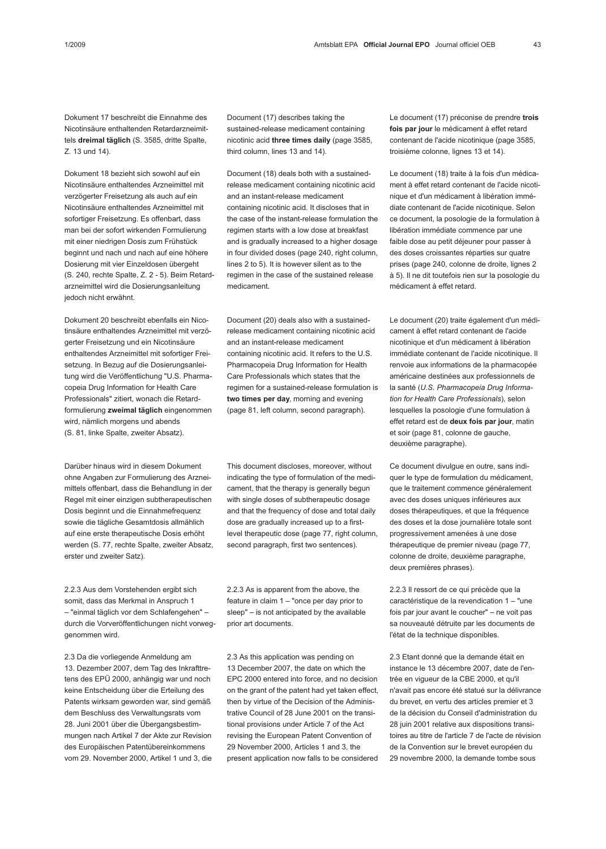Dokument 17 beschreibt die Einnahme des Nicotinsäure enthaltenden Retardarzneimittels dreimal täglich (S. 3585, dritte Spalte, Z. 13 und 14).

Dokument 18 bezieht sich sowohl auf ein Nicotinsäure enthaltendes Arzneimittel mit verzögerter Freisetzung als auch auf ein Nicotinsäure enthaltendes Arzneimittel mit sofortiger Freisetzung. Es offenbart, dass man bei der sofort wirkenden Formulierung mit einer niedrigen Dosis zum Frühstück beginnt und nach und nach auf eine höhere Dosierung mit vier Einzeldosen übergeht (S. 240, rechte Spalte, Z. 2 - 5). Beim Retardarzneimittel wird die Dosierungsanleitung jedoch nicht erwähnt.

Dokument 20 beschreibt ebenfalls ein Nicotinsäure enthaltendes Arzneimittel mit verzögerter Freisetzung und ein Nicotinsäure enthaltendes Arzneimittel mit sofortiger Freisetzung. In Bezug auf die Dosierungsanleitung wird die Veröffentlichung "U.S. Pharmacopeia Drug Information for Health Care Professionals" zitiert, wonach die Retardformulierung zweimal täglich eingenommen wird, nämlich morgens und abends (S. 81, linke Spalte, zweiter Absatz).

Darüber hinaus wird in diesem Dokument ohne Angaben zur Formulierung des Arzneimittels offenbart, dass die Behandlung in der Regel mit einer einzigen subtherapeutischen Dosis beginnt und die Einnahmefrequenz sowie die tägliche Gesamtdosis allmählich auf eine erste therapeutische Dosis erhöht werden (S. 77, rechte Spalte, zweiter Absatz, erster und zweiter Satz).

2.2.3 Aus dem Vorstehenden ergibt sich somit, dass das Merkmal in Anspruch 1 – "einmal täglich vor dem Schlafengehen" – durch die Vorveröffentlichungen nicht vorweggenommen wird.

2.3 Da die vorliegende Anmeldung am 13. Dezember 2007, dem Tag des Inkrafttretens des EPÜ 2000, anhängig war und noch keine Entscheidung über die Erteilung des Patents wirksam geworden war, sind gemäß dem Beschluss des Verwaltungsrats vom 28. Juni 2001 über die Übergangsbestimmungen nach Artikel 7 der Akte zur Revision des Europäischen Patentübereinkommens vom 29. November 2000, Artikel 1 und 3, die Document (17) describes taking the sustained-release medicament containing nicotinic acid three times daily (page 3585, third column, lines 13 and 14).

Document (18) deals both with a sustainedrelease medicament containing nicotinic acid and an instant-release medicament containing nicotinic acid. It discloses that in the case of the instant-release formulation the regimen starts with a low dose at breakfast and is gradually increased to a higher dosage in four divided doses (page 240, right column, lines 2 to 5). It is however silent as to the regimen in the case of the sustained release medicament.

Document (20) deals also with a sustainedrelease medicament containing nicotinic acid and an instant-release medicament containing nicotinic acid. It refers to the U.S. Pharmacopeia Drug Information for Health Care Professionals which states that the regimen for a sustained-release formulation is two times per day, morning and evening (page 81, left column, second paragraph).

This document discloses, moreover, without indicating the type of formulation of the medicament, that the therapy is generally begun with single doses of subtherapeutic dosage and that the frequency of dose and total daily dose are gradually increased up to a firstlevel therapeutic dose (page 77, right column, second paragraph, first two sentences).

2.2.3 As is apparent from the above, the feature in claim 1 – "once per day prior to sleep" – is not anticipated by the available prior art documents.

2.3 As this application was pending on 13 December 2007, the date on which the EPC 2000 entered into force, and no decision on the grant of the patent had yet taken effect, then by virtue of the Decision of the Administrative Council of 28 June 2001 on the transitional provisions under Article 7 of the Act revising the European Patent Convention of 29 November 2000, Articles 1 and 3, the present application now falls to be considered

Le document (17) préconise de prendre trois fois par jour le médicament à effet retard contenant de l'acide nicotinique (page 3585, troisième colonne, lignes 13 et 14).

Le document (18) traite à la fois d'un médicament à effet retard contenant de l'acide nicotinique et d'un médicament à libération immédiate contenant de l'acide nicotinique. Selon ce document, la posologie de la formulation à libération immédiate commence par une faible dose au petit déjeuner pour passer à des doses croissantes réparties sur quatre prises (page 240, colonne de droite, lignes 2 à 5). Il ne dit toutefois rien sur la posologie du médicament à effet retard.

Le document (20) traite également d'un médicament à effet retard contenant de l'acide nicotinique et d'un médicament à libération immédiate contenant de l'acide nicotinique. Il renvoie aux informations de la pharmacopée américaine destinées aux professionnels de la santé (U.S. Pharmacopeia Drug Information for Health Care Professionals), selon lesquelles la posologie d'une formulation à effet retard est de deux fois par jour, matin et soir (page 81, colonne de gauche, deuxième paragraphe).

Ce document divulgue en outre, sans indiquer le type de formulation du médicament, que le traitement commence généralement avec des doses uniques inférieures aux doses thérapeutiques, et que la fréquence des doses et la dose journalière totale sont progressivement amenées à une dose thérapeutique de premier niveau (page 77, colonne de droite, deuxième paragraphe, deux premières phrases).

2.2.3 Il ressort de ce qui précède que la caractéristique de la revendication 1 – "une fois par jour avant le coucher" – ne voit pas sa nouveauté détruite par les documents de l'état de la technique disponibles.

2.3 Etant donné que la demande était en instance le 13 décembre 2007, date de l'entrée en vigueur de la CBE 2000, et qu'il n'avait pas encore été statué sur la délivrance du brevet, en vertu des articles premier et 3 de la décision du Conseil d'administration du 28 juin 2001 relative aux dispositions transitoires au titre de l'article 7 de l'acte de révision de la Convention sur le brevet européen du 29 novembre 2000, la demande tombe sous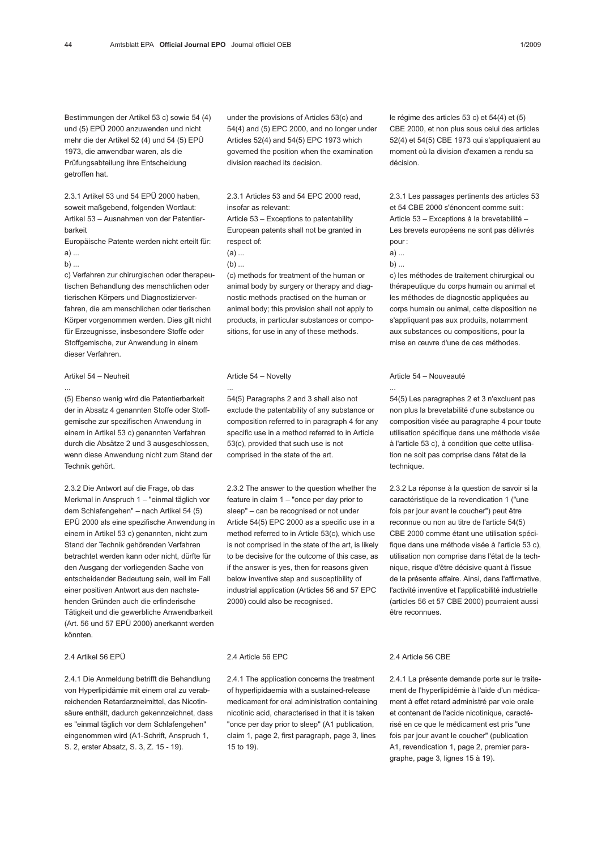2.3.1 Artikel 53 und 54 EPÜ 2000 haben, soweit maßgebend, folgenden Wortlaut: Artikel 53 – Ausnahmen von der Patentierbarkeit

Europäische Patente werden nicht erteilt für: a) ...

 $b)$  ...

...

c) Verfahren zur chirurgischen oder therapeutischen Behandlung des menschlichen oder tierischen Körpers und Diagnostizierverfahren, die am menschlichen oder tierischen Körper vorgenommen werden. Dies gilt nicht für Erzeugnisse, insbesondere Stoffe oder Stoffgemische, zur Anwendung in einem dieser Verfahren.

#### Artikel 54 – Neuheit

(5) Ebenso wenig wird die Patentierbarkeit der in Absatz 4 genannten Stoffe oder Stoffgemische zur spezifischen Anwendung in einem in Artikel 53 c) genannten Verfahren durch die Absätze 2 und 3 ausgeschlossen, wenn diese Anwendung nicht zum Stand der Technik gehört.

2.3.2 Die Antwort auf die Frage, ob das Merkmal in Anspruch 1 – "einmal täglich vor dem Schlafengehen" – nach Artikel 54 (5) EPÜ 2000 als eine spezifische Anwendung in einem in Artikel 53 c) genannten, nicht zum Stand der Technik gehörenden Verfahren betrachtet werden kann oder nicht, dürfte für den Ausgang der vorliegenden Sache von entscheidender Bedeutung sein, weil im Fall einer positiven Antwort aus den nachstehenden Gründen auch die erfinderische Tätigkeit und die gewerbliche Anwendbarkeit (Art. 56 und 57 EPÜ 2000) anerkannt werden könnten.

#### 2.4 Artikel 56 EPÜ

2.4.1 Die Anmeldung betrifft die Behandlung von Hyperlipidämie mit einem oral zu verabreichenden Retardarzneimittel, das Nicotinsäure enthält, dadurch gekennzeichnet, dass es "einmal täglich vor dem Schlafengehen" eingenommen wird (A1-Schrift, Anspruch 1, S. 2, erster Absatz, S. 3, Z. 15 - 19).

under the provisions of Articles 53(c) and 54(4) and (5) EPC 2000, and no longer under Articles 52(4) and 54(5) EPC 1973 which governed the position when the examination division reached its decision.

2.3.1 Articles 53 and 54 EPC 2000 read, insofar as relevant:

Article 53 – Exceptions to patentability European patents shall not be granted in respect of:

(a) ...

 $(b)$  ...

(c) methods for treatment of the human or animal body by surgery or therapy and diagnostic methods practised on the human or animal body; this provision shall not apply to products, in particular substances or compositions, for use in any of these methods.

#### Article 54 – Novelty

...

54(5) Paragraphs 2 and 3 shall also not exclude the patentability of any substance or composition referred to in paragraph 4 for any specific use in a method referred to in Article 53(c), provided that such use is not comprised in the state of the art.

2.3.2 The answer to the question whether the feature in claim 1 – "once per day prior to sleep" – can be recognised or not under Article 54(5) EPC 2000 as a specific use in a method referred to in Article 53(c), which use is not comprised in the state of the art, is likely to be decisive for the outcome of this case, as if the answer is yes, then for reasons given below inventive step and susceptibility of industrial application (Articles 56 and 57 EPC 2000) could also be recognised.

#### 2.4 Article 56 EPC

2.4.1 The application concerns the treatment of hyperlipidaemia with a sustained-release medicament for oral administration containing nicotinic acid, characterised in that it is taken "once per day prior to sleep" (A1 publication, claim 1, page 2, first paragraph, page 3, lines 15 to 19).

le régime des articles 53 c) et 54(4) et (5) CBE 2000, et non plus sous celui des articles 52(4) et 54(5) CBE 1973 qui s'appliquaient au moment où la division d'examen a rendu sa décision.

2.3.1 Les passages pertinents des articles 53 et 54 CBE 2000 s'énoncent comme suit : Article 53 – Exceptions à la brevetabilité – Les brevets européens ne sont pas délivrés pour :

a) ...  $b)$  ...

...

c) les méthodes de traitement chirurgical ou thérapeutique du corps humain ou animal et les méthodes de diagnostic appliquées au corps humain ou animal, cette disposition ne s'appliquant pas aux produits, notamment aux substances ou compositions, pour la mise en œuvre d'une de ces méthodes.

#### Article 54 – Nouveauté

54(5) Les paragraphes 2 et 3 n'excluent pas non plus la brevetabilité d'une substance ou composition visée au paragraphe 4 pour toute utilisation spécifique dans une méthode visée à l'article 53 c), à condition que cette utilisation ne soit pas comprise dans l'état de la technique.

2.3.2 La réponse à la question de savoir si la caractéristique de la revendication 1 ("une fois par jour avant le coucher") peut être reconnue ou non au titre de l'article 54(5) CBE 2000 comme étant une utilisation spécifique dans une méthode visée à l'article 53 c), utilisation non comprise dans l'état de la technique, risque d'être décisive quant à l'issue de la présente affaire. Ainsi, dans l'affirmative, l'activité inventive et l'applicabilité industrielle (articles 56 et 57 CBE 2000) pourraient aussi être reconnues.

#### 2.4 Article 56 CBE

2.4.1 La présente demande porte sur le traitement de l'hyperlipidémie à l'aide d'un médicament à effet retard administré par voie orale et contenant de l'acide nicotinique, caractérisé en ce que le médicament est pris "une fois par jour avant le coucher" (publication A1, revendication 1, page 2, premier paragraphe, page 3, lignes 15 à 19).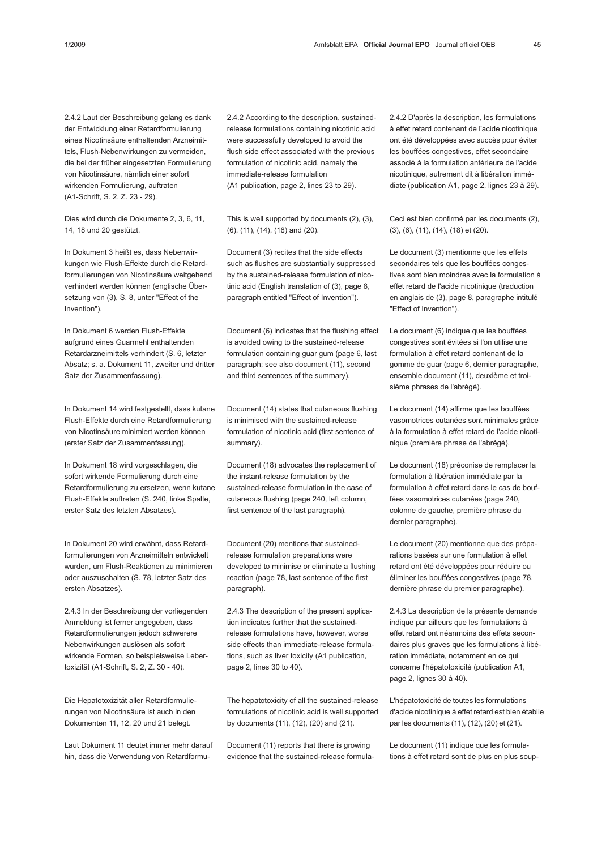2.4.2 Laut der Beschreibung gelang es dank der Entwicklung einer Retardformulierung eines Nicotinsäure enthaltenden Arzneimittels, Flush-Nebenwirkungen zu vermeiden, die bei der früher eingesetzten Formulierung von Nicotinsäure, nämlich einer sofort wirkenden Formulierung, auftraten (A1-Schrift, S. 2, Z. 23 - 29).

Dies wird durch die Dokumente 2, 3, 6, 11, 14, 18 und 20 gestützt.

In Dokument 3 heißt es, dass Nebenwirkungen wie Flush-Effekte durch die Retardformulierungen von Nicotinsäure weitgehend verhindert werden können (englische Übersetzung von (3), S. 8, unter "Effect of the Invention").

In Dokument 6 werden Flush-Effekte aufgrund eines Guarmehl enthaltenden Retardarzneimittels verhindert (S. 6, letzter Absatz; s. a. Dokument 11, zweiter und dritter Satz der Zusammenfassung).

In Dokument 14 wird festgestellt, dass kutane Flush-Effekte durch eine Retardformulierung von Nicotinsäure minimiert werden können (erster Satz der Zusammenfassung).

In Dokument 18 wird vorgeschlagen, die sofort wirkende Formulierung durch eine Retardformulierung zu ersetzen, wenn kutane Flush-Effekte auftreten (S. 240, linke Spalte, erster Satz des letzten Absatzes).

In Dokument 20 wird erwähnt, dass Retardformulierungen von Arzneimitteln entwickelt wurden, um Flush-Reaktionen zu minimieren oder auszuschalten (S. 78, letzter Satz des ersten Absatzes).

2.4.3 In der Beschreibung der vorliegenden Anmeldung ist ferner angegeben, dass Retardformulierungen jedoch schwerere Nebenwirkungen auslösen als sofort wirkende Formen, so beispielsweise Lebertoxizität (A1-Schrift, S. 2, Z. 30 - 40).

Die Hepatotoxizität aller Retardformulierungen von Nicotinsäure ist auch in den Dokumenten 11, 12, 20 und 21 belegt.

Laut Dokument 11 deutet immer mehr darauf hin, dass die Verwendung von Retardformu2.4.2 According to the description, sustainedrelease formulations containing nicotinic acid were successfully developed to avoid the flush side effect associated with the previous formulation of nicotinic acid, namely the immediate-release formulation (A1 publication, page 2, lines 23 to 29).

This is well supported by documents (2), (3), (6), (11), (14), (18) and (20).

Document (3) recites that the side effects such as flushes are substantially suppressed by the sustained-release formulation of nicotinic acid (English translation of (3), page 8, paragraph entitled "Effect of Invention").

Document (6) indicates that the flushing effect is avoided owing to the sustained-release formulation containing guar gum (page 6, last paragraph; see also document (11), second and third sentences of the summary).

Document (14) states that cutaneous flushing is minimised with the sustained-release formulation of nicotinic acid (first sentence of summary).

Document (18) advocates the replacement of the instant-release formulation by the sustained-release formulation in the case of cutaneous flushing (page 240, left column, first sentence of the last paragraph).

Document (20) mentions that sustainedrelease formulation preparations were developed to minimise or eliminate a flushing reaction (page 78, last sentence of the first paragraph).

2.4.3 The description of the present application indicates further that the sustainedrelease formulations have, however, worse side effects than immediate-release formulations, such as liver toxicity (A1 publication, page 2, lines 30 to 40).

The hepatotoxicity of all the sustained-release formulations of nicotinic acid is well supported by documents (11), (12), (20) and (21).

Document (11) reports that there is growing evidence that the sustained-release formula2.4.2 D'après la description, les formulations à effet retard contenant de l'acide nicotinique ont été développées avec succès pour éviter les bouffées congestives, effet secondaire associé à la formulation antérieure de l'acide nicotinique, autrement dit à libération immédiate (publication A1, page 2, lignes 23 à 29).

Ceci est bien confirmé par les documents (2), (3), (6), (11), (14), (18) et (20).

Le document (3) mentionne que les effets secondaires tels que les bouffées congestives sont bien moindres avec la formulation à effet retard de l'acide nicotinique (traduction en anglais de (3), page 8, paragraphe intitulé "Effect of Invention").

Le document (6) indique que les bouffées congestives sont évitées si l'on utilise une formulation à effet retard contenant de la gomme de guar (page 6, dernier paragraphe, ensemble document (11), deuxième et troisième phrases de l'abrégé).

Le document (14) affirme que les bouffées vasomotrices cutanées sont minimales grâce à la formulation à effet retard de l'acide nicotinique (première phrase de l'abrégé).

Le document (18) préconise de remplacer la formulation à libération immédiate par la formulation à effet retard dans le cas de bouffées vasomotrices cutanées (page 240, colonne de gauche, première phrase du dernier paragraphe).

Le document (20) mentionne que des préparations basées sur une formulation à effet retard ont été développées pour réduire ou éliminer les bouffées congestives (page 78, dernière phrase du premier paragraphe).

2.4.3 La description de la présente demande indique par ailleurs que les formulations à effet retard ont néanmoins des effets secondaires plus graves que les formulations à libération immédiate, notamment en ce qui concerne l'hépatotoxicité (publication A1, page 2, lignes 30 à 40).

L'hépatotoxicité de toutes les formulations d'acide nicotinique à effet retard est bien établie par les documents (11), (12), (20) et (21).

Le document (11) indique que les formulations à effet retard sont de plus en plus soup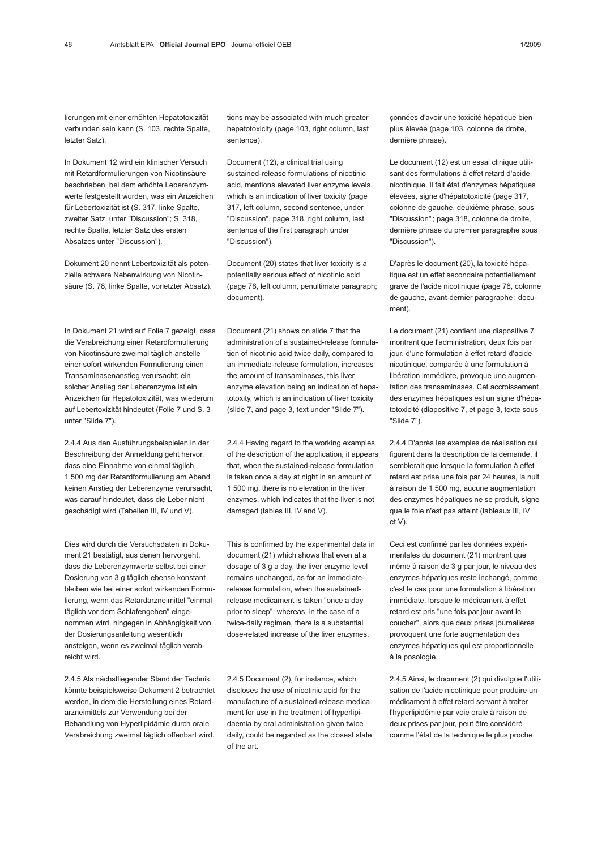lierungen mit einer erhöhten Hepatotoxizität verbunden sein kann (S. 103, rechte Spalte, letzter Satz).

In Dokument 12 wird ein klinischer Versuch mit Retardformulierungen von Nicotinsäure beschrieben, bei dem erhöhte Leberenzymwerte festgestellt wurden, was ein Anzeichen für Lebertoxizität ist (S. 317, linke Spalte, zweiter Satz, unter "Discussion"; S. 318, rechte Spalte, letzter Satz des ersten Absatzes unter "Discussion").

Dokument 20 nennt Lebertoxizität als potenzielle schwere Nebenwirkung von Nicotinsäure (S. 78, linke Spalte, vorletzter Absatz).

In Dokument 21 wird auf Folie 7 gezeigt, dass die Verabreichung einer Retardformulierung von Nicotinsäure zweimal täglich anstelle einer sofort wirkenden Formulierung einen Transaminasenanstieg verursacht; ein solcher Anstieg der Leberenzyme ist ein Anzeichen für Hepatotoxizität, was wiederum auf Lebertoxizität hindeutet (Folie 7 und S. 3 unter "Slide 7").

2.4.4 Aus den Ausführungsbeispielen in der Beschreibung der Anmeldung geht hervor, dass eine Einnahme von einmal täglich 1 500 mg der Retardformulierung am Abend keinen Anstieg der Leberenzyme verursacht, was darauf hindeutet, dass die Leber nicht geschädigt wird (Tabellen III, IV und V).

Dies wird durch die Versuchsdaten in Dokument 21 bestätigt, aus denen hervorgeht, dass die Leberenzymwerte selbst bei einer Dosierung von 3 g täglich ebenso konstant bleiben wie bei einer sofort wirkenden Formulierung, wenn das Retardarzneimittel "einmal täglich vor dem Schlafengehen" eingenommen wird, hingegen in Abhängigkeit von der Dosierungsanleitung wesentlich ansteigen, wenn es zweimal täglich verabreicht wird.

2.4.5 Als nächstliegender Stand der Technik könnte beispielsweise Dokument 2 betrachtet werden, in dem die Herstellung eines Retardarzneimittels zur Verwendung bei der Behandlung von Hyperlipidämie durch orale Verabreichung zweimal täglich offenbart wird.

tions may be associated with much greater hepatotoxicity (page 103, right column, last sentence).

Document (12), a clinical trial using sustained-release formulations of nicotinic acid, mentions elevated liver enzyme levels, which is an indication of liver toxicity (page 317, left column, second sentence, under "Discussion", page 318, right column, last sentence of the first paragraph under "Discussion").

Document (20) states that liver toxicity is a potentially serious effect of nicotinic acid (page 78, left column, penultimate paragraph; document).

Document (21) shows on slide 7 that the administration of a sustained-release formulation of nicotinic acid twice daily, compared to an immediate-release formulation, increases the amount of transaminases, this liver enzyme elevation being an indication of hepatotoxity, which is an indication of liver toxicity (slide 7, and page 3, text under "Slide 7").

2.4.4 Having regard to the working examples of the description of the application, it appears that, when the sustained-release formulation is taken once a day at night in an amount of 1 500 mg, there is no elevation in the liver enzymes, which indicates that the liver is not damaged (tables III, IV and V).

This is confirmed by the experimental data in document (21) which shows that even at a dosage of 3 g a day, the liver enzyme level remains unchanged, as for an immediaterelease formulation, when the sustainedrelease medicament is taken "once a day prior to sleep", whereas, in the case of a twice-daily regimen, there is a substantial dose-related increase of the liver enzymes.

2.4.5 Document (2), for instance, which discloses the use of nicotinic acid for the manufacture of a sustained-release medicament for use in the treatment of hyperlipidaemia by oral administration given twice daily, could be regarded as the closest state of the art.

çonnées d'avoir une toxicité hépatique bien plus élevée (page 103, colonne de droite, dernière phrase).

Le document (12) est un essai clinique utilisant des formulations à effet retard d'acide nicotinique. Il fait état d'enzymes hépatiques élevées, signe d'hépatotoxicité (page 317, colonne de gauche, deuxième phrase, sous "Discussion" ; page 318, colonne de droite, dernière phrase du premier paragraphe sous "Discussion").

D'après le document (20), la toxicité hépatique est un effet secondaire potentiellement grave de l'acide nicotinique (page 78, colonne de gauche, avant-dernier paragraphe ; document).

Le document (21) contient une diapositive 7 montrant que l'administration, deux fois par jour, d'une formulation à effet retard d'acide nicotinique, comparée à une formulation à libération immédiate, provoque une augmentation des transaminases. Cet accroissement des enzymes hépatiques est un signe d'hépatotoxicité (diapositive 7, et page 3, texte sous "Slide 7").

2.4.4 D'après les exemples de réalisation qui figurent dans la description de la demande, il semblerait que lorsque la formulation à effet retard est prise une fois par 24 heures, la nuit à raison de 1 500 mg, aucune augmentation des enzymes hépatiques ne se produit, signe que le foie n'est pas atteint (tableaux III, IV et V).

Ceci est confirmé par les données expérimentales du document (21) montrant que même à raison de 3 g par jour, le niveau des enzymes hépatiques reste inchangé, comme c'est le cas pour une formulation à libération immédiate, lorsque le médicament à effet retard est pris "une fois par jour avant le coucher", alors que deux prises journalières provoquent une forte augmentation des enzymes hépatiques qui est proportionnelle à la posologie.

2.4.5 Ainsi, le document (2) qui divulgue l'utilisation de l'acide nicotinique pour produire un médicament à effet retard servant à traiter l'hyperlipidémie par voie orale à raison de deux prises par jour, peut être considéré comme l'état de la technique le plus proche.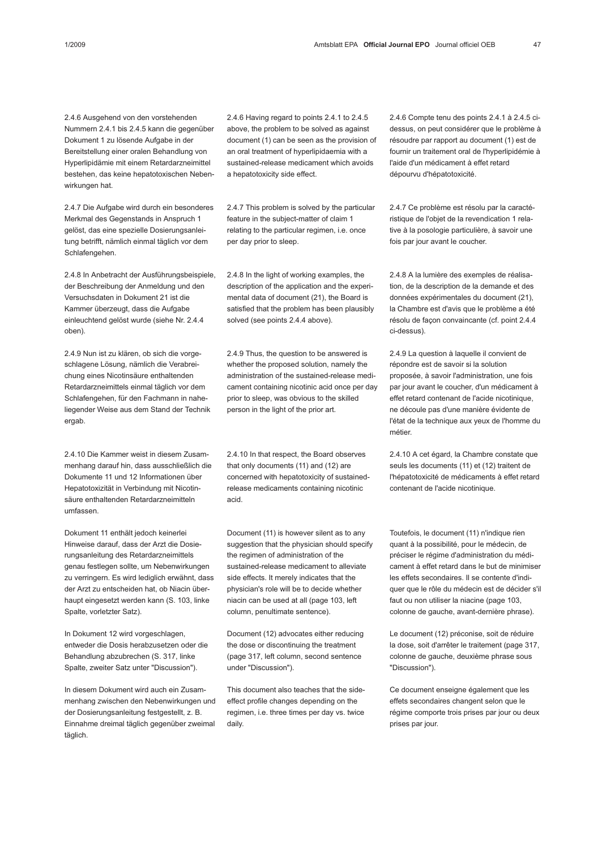2.4.6 Ausgehend von den vorstehenden Nummern 2.4.1 bis 2.4.5 kann die gegenüber Dokument 1 zu lösende Aufgabe in der Bereitstellung einer oralen Behandlung von Hyperlipidämie mit einem Retardarzneimittel bestehen, das keine hepatotoxischen Nebenwirkungen hat.

2.4.7 Die Aufgabe wird durch ein besonderes Merkmal des Gegenstands in Anspruch 1 gelöst, das eine spezielle Dosierungsanleitung betrifft, nämlich einmal täglich vor dem Schlafengehen.

2.4.8 In Anbetracht der Ausführungsbeispiele, der Beschreibung der Anmeldung und den Versuchsdaten in Dokument 21 ist die Kammer überzeugt, dass die Aufgabe einleuchtend gelöst wurde (siehe Nr. 2.4.4 oben).

2.4.9 Nun ist zu klären, ob sich die vorgeschlagene Lösung, nämlich die Verabreichung eines Nicotinsäure enthaltenden Retardarzneimittels einmal täglich vor dem Schlafengehen, für den Fachmann in naheliegender Weise aus dem Stand der Technik ergab.

2.4.10 Die Kammer weist in diesem Zusammenhang darauf hin, dass ausschließlich die Dokumente 11 und 12 Informationen über Hepatotoxizität in Verbindung mit Nicotinsäure enthaltenden Retardarzneimitteln umfassen.

Dokument 11 enthält jedoch keinerlei Hinweise darauf, dass der Arzt die Dosierungsanleitung des Retardarzneimittels genau festlegen sollte, um Nebenwirkungen zu verringern. Es wird lediglich erwähnt, dass der Arzt zu entscheiden hat, ob Niacin überhaupt eingesetzt werden kann (S. 103, linke Spalte, vorletzter Satz).

In Dokument 12 wird vorgeschlagen, entweder die Dosis herabzusetzen oder die Behandlung abzubrechen (S. 317, linke Spalte, zweiter Satz unter "Discussion").

In diesem Dokument wird auch ein Zusammenhang zwischen den Nebenwirkungen und der Dosierungsanleitung festgestellt, z. B. Einnahme dreimal täglich gegenüber zweimal täglich.

2.4.6 Having regard to points 2.4.1 to 2.4.5 above, the problem to be solved as against document (1) can be seen as the provision of an oral treatment of hyperlipidaemia with a sustained-release medicament which avoids a hepatotoxicity side effect.

2.4.7 This problem is solved by the particular feature in the subject-matter of claim 1 relating to the particular regimen, i.e. once per day prior to sleep.

2.4.8 In the light of working examples, the description of the application and the experimental data of document (21), the Board is satisfied that the problem has been plausibly solved (see points 2.4.4 above).

2.4.9 Thus, the question to be answered is whether the proposed solution, namely the administration of the sustained-release medicament containing nicotinic acid once per day prior to sleep, was obvious to the skilled person in the light of the prior art.

2.4.10 In that respect, the Board observes that only documents (11) and (12) are concerned with hepatotoxicity of sustainedrelease medicaments containing nicotinic acid.

Document (11) is however silent as to any suggestion that the physician should specify the regimen of administration of the sustained-release medicament to alleviate side effects. It merely indicates that the physician's role will be to decide whether niacin can be used at all (page 103, left column, penultimate sentence).

Document (12) advocates either reducing the dose or discontinuing the treatment (page 317, left column, second sentence under "Discussion").

This document also teaches that the sideeffect profile changes depending on the regimen, i.e. three times per day vs. twice daily.

2.4.6 Compte tenu des points 2.4.1 à 2.4.5 cidessus, on peut considérer que le problème à résoudre par rapport au document (1) est de fournir un traitement oral de l'hyperlipidémie à l'aide d'un médicament à effet retard dépourvu d'hépatotoxicité.

2.4.7 Ce problème est résolu par la caractéristique de l'objet de la revendication 1 relative à la posologie particulière, à savoir une fois par jour avant le coucher.

2.4.8 A la lumière des exemples de réalisation, de la description de la demande et des données expérimentales du document (21), la Chambre est d'avis que le problème a été résolu de façon convaincante (cf. point 2.4.4 ci-dessus).

2.4.9 La question à laquelle il convient de répondre est de savoir si la solution proposée, à savoir l'administration, une fois par jour avant le coucher, d'un médicament à effet retard contenant de l'acide nicotinique, ne découle pas d'une manière évidente de l'état de la technique aux yeux de l'homme du métier.

2.4.10 A cet égard, la Chambre constate que seuls les documents (11) et (12) traitent de l'hépatotoxicité de médicaments à effet retard contenant de l'acide nicotinique.

Toutefois, le document (11) n'indique rien quant à la possibilité, pour le médecin, de préciser le régime d'administration du médicament à effet retard dans le but de minimiser les effets secondaires. Il se contente d'indiquer que le rôle du médecin est de décider s'il faut ou non utiliser la niacine (page 103, colonne de gauche, avant-dernière phrase).

Le document (12) préconise, soit de réduire la dose, soit d'arrêter le traitement (page 317, colonne de gauche, deuxième phrase sous "Discussion").

Ce document enseigne également que les effets secondaires changent selon que le régime comporte trois prises par jour ou deux prises par jour.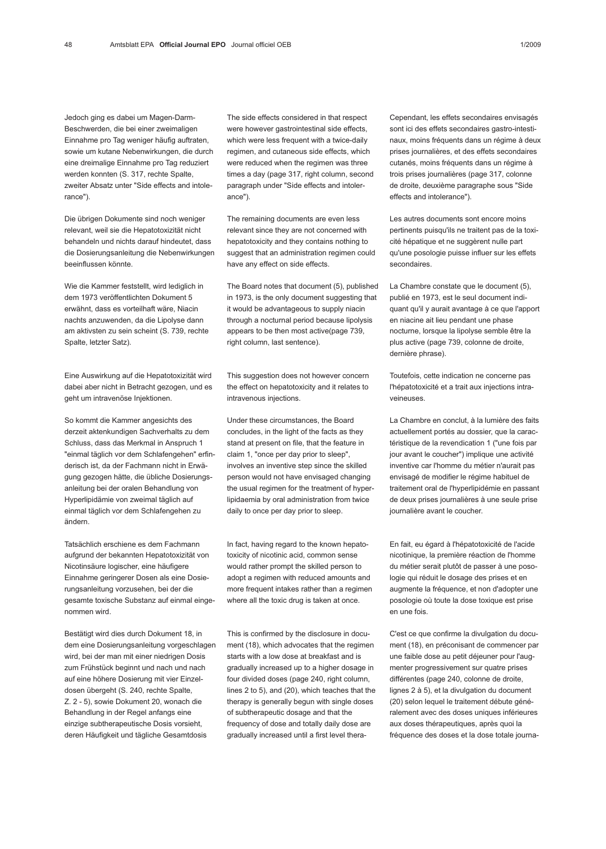Jedoch ging es dabei um Magen-Darm-Beschwerden, die bei einer zweimaligen Einnahme pro Tag weniger häufig auftraten, sowie um kutane Nebenwirkungen, die durch eine dreimalige Einnahme pro Tag reduziert werden konnten (S. 317, rechte Spalte, zweiter Absatz unter "Side effects and intolerance").

Die übrigen Dokumente sind noch weniger relevant, weil sie die Hepatotoxizität nicht behandeln und nichts darauf hindeutet, dass die Dosierungsanleitung die Nebenwirkungen beeinflussen könnte.

Wie die Kammer feststellt, wird lediglich in dem 1973 veröffentlichten Dokument 5 erwähnt, dass es vorteilhaft wäre, Niacin nachts anzuwenden, da die Lipolyse dann am aktivsten zu sein scheint (S. 739, rechte Spalte, letzter Satz).

Eine Auswirkung auf die Hepatotoxizität wird dabei aber nicht in Betracht gezogen, und es geht um intravenöse Injektionen.

So kommt die Kammer angesichts des derzeit aktenkundigen Sachverhalts zu dem Schluss, dass das Merkmal in Anspruch 1 "einmal täglich vor dem Schlafengehen" erfinderisch ist, da der Fachmann nicht in Erwägung gezogen hätte, die übliche Dosierungsanleitung bei der oralen Behandlung von Hyperlipidämie von zweimal täglich auf einmal täglich vor dem Schlafengehen zu ändern.

Tatsächlich erschiene es dem Fachmann aufgrund der bekannten Hepatotoxizität von Nicotinsäure logischer, eine häufigere Einnahme geringerer Dosen als eine Dosierungsanleitung vorzusehen, bei der die gesamte toxische Substanz auf einmal eingenommen wird.

Bestätigt wird dies durch Dokument 18, in dem eine Dosierungsanleitung vorgeschlagen wird, bei der man mit einer niedrigen Dosis zum Frühstück beginnt und nach und nach auf eine höhere Dosierung mit vier Einzeldosen übergeht (S. 240, rechte Spalte, Z. 2 - 5), sowie Dokument 20, wonach die Behandlung in der Regel anfangs eine einzige subtherapeutische Dosis vorsieht, deren Häufigkeit und tägliche Gesamtdosis

The side effects considered in that respect were however gastrointestinal side effects, which were less frequent with a twice-daily regimen, and cutaneous side effects, which were reduced when the regimen was three times a day (page 317, right column, second paragraph under "Side effects and intolerance").

The remaining documents are even less relevant since they are not concerned with hepatotoxicity and they contains nothing to suggest that an administration regimen could have any effect on side effects.

The Board notes that document (5), published in 1973, is the only document suggesting that it would be advantageous to supply niacin through a nocturnal period because lipolysis appears to be then most active(page 739, right column, last sentence).

This suggestion does not however concern the effect on hepatotoxicity and it relates to intravenous injections.

Under these circumstances, the Board concludes, in the light of the facts as they stand at present on file, that the feature in claim 1, "once per day prior to sleep", involves an inventive step since the skilled person would not have envisaged changing the usual regimen for the treatment of hyperlipidaemia by oral administration from twice daily to once per day prior to sleep.

In fact, having regard to the known hepatotoxicity of nicotinic acid, common sense would rather prompt the skilled person to adopt a regimen with reduced amounts and more frequent intakes rather than a regimen where all the toxic drug is taken at once.

This is confirmed by the disclosure in document (18), which advocates that the regimen starts with a low dose at breakfast and is gradually increased up to a higher dosage in four divided doses (page 240, right column, lines 2 to 5), and (20), which teaches that the therapy is generally begun with single doses of subtherapeutic dosage and that the frequency of dose and totally daily dose are gradually increased until a first level theraCependant, les effets secondaires envisagés sont ici des effets secondaires gastro-intestinaux, moins fréquents dans un régime à deux prises journalières, et des effets secondaires cutanés, moins fréquents dans un régime à trois prises journalières (page 317, colonne de droite, deuxième paragraphe sous "Side effects and intolerance").

Les autres documents sont encore moins pertinents puisqu'ils ne traitent pas de la toxicité hépatique et ne suggèrent nulle part qu'une posologie puisse influer sur les effets secondaires.

La Chambre constate que le document (5), publié en 1973, est le seul document indiquant qu'il y aurait avantage à ce que l'apport en niacine ait lieu pendant une phase nocturne, lorsque la lipolyse semble être la plus active (page 739, colonne de droite, dernière phrase).

Toutefois, cette indication ne concerne pas l'hépatotoxicité et a trait aux injections intraveineuses.

La Chambre en conclut, à la lumière des faits actuellement portés au dossier, que la caractéristique de la revendication 1 ("une fois par jour avant le coucher") implique une activité inventive car l'homme du métier n'aurait pas envisagé de modifier le régime habituel de traitement oral de l'hyperlipidémie en passant de deux prises journalières à une seule prise journalière avant le coucher.

En fait, eu égard à l'hépatotoxicité de l'acide nicotinique, la première réaction de l'homme du métier serait plutôt de passer à une posologie qui réduit le dosage des prises et en augmente la fréquence, et non d'adopter une posologie où toute la dose toxique est prise en une fois.

C'est ce que confirme la divulgation du document (18), en préconisant de commencer par une faible dose au petit déjeuner pour l'augmenter progressivement sur quatre prises différentes (page 240, colonne de droite, lignes 2 à 5), et la divulgation du document (20) selon lequel le traitement débute généralement avec des doses uniques inférieures aux doses thérapeutiques, après quoi la fréquence des doses et la dose totale journa-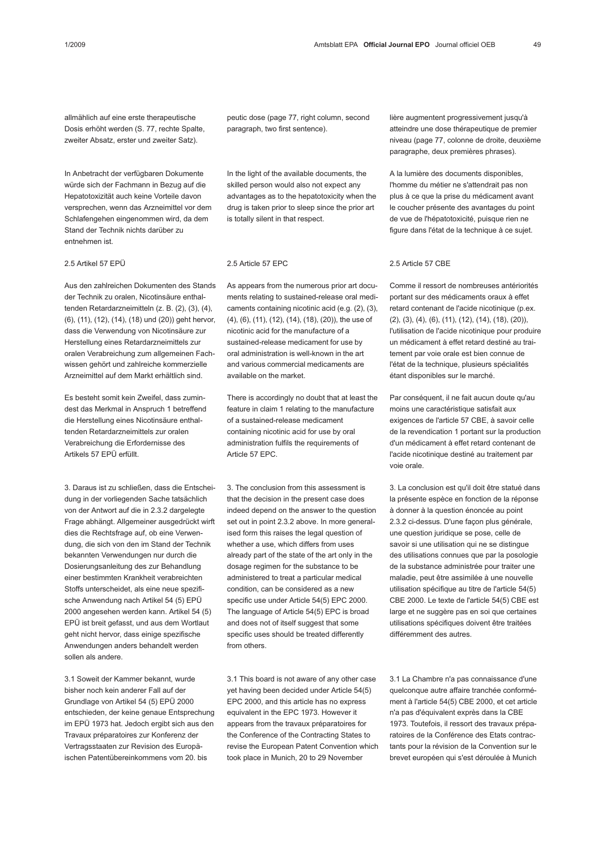allmählich auf eine erste therapeutische Dosis erhöht werden (S. 77, rechte Spalte, zweiter Absatz, erster und zweiter Satz).

In Anbetracht der verfügbaren Dokumente würde sich der Fachmann in Bezug auf die Hepatotoxizität auch keine Vorteile davon versprechen, wenn das Arzneimittel vor dem Schlafengehen eingenommen wird, da dem Stand der Technik nichts darüber zu entnehmen ist.

## 2.5 Artikel 57 EPÜ

Aus den zahlreichen Dokumenten des Stands der Technik zu oralen, Nicotinsäure enthaltenden Retardarzneimitteln (z. B. (2), (3), (4), (6), (11), (12), (14), (18) und (20)) geht hervor, dass die Verwendung von Nicotinsäure zur Herstellung eines Retardarzneimittels zur oralen Verabreichung zum allgemeinen Fachwissen gehört und zahlreiche kommerzielle Arzneimittel auf dem Markt erhältlich sind.

Es besteht somit kein Zweifel, dass zumindest das Merkmal in Anspruch 1 betreffend die Herstellung eines Nicotinsäure enthaltenden Retardarzneimittels zur oralen Verabreichung die Erfordernisse des Artikels 57 EPÜ erfüllt.

3. Daraus ist zu schließen, dass die Entscheidung in der vorliegenden Sache tatsächlich von der Antwort auf die in 2.3.2 dargelegte Frage abhängt. Allgemeiner ausgedrückt wirft dies die Rechtsfrage auf, ob eine Verwendung, die sich von den im Stand der Technik bekannten Verwendungen nur durch die Dosierungsanleitung des zur Behandlung einer bestimmten Krankheit verabreichten Stoffs unterscheidet, als eine neue spezifische Anwendung nach Artikel 54 (5) EPÜ 2000 angesehen werden kann. Artikel 54 (5) EPÜ ist breit gefasst, und aus dem Wortlaut geht nicht hervor, dass einige spezifische Anwendungen anders behandelt werden sollen als andere.

3.1 Soweit der Kammer bekannt, wurde bisher noch kein anderer Fall auf der Grundlage von Artikel 54 (5) EPÜ 2000 entschieden, der keine genaue Entsprechung im EPÜ 1973 hat. Jedoch ergibt sich aus den Travaux préparatoires zur Konferenz der Vertragsstaaten zur Revision des Europäischen Patentübereinkommens vom 20. bis

peutic dose (page 77, right column, second paragraph, two first sentence).

In the light of the available documents, the skilled person would also not expect any advantages as to the hepatotoxicity when the drug is taken prior to sleep since the prior art is totally silent in that respect.

#### 2.5 Article 57 EPC

As appears from the numerous prior art documents relating to sustained-release oral medicaments containing nicotinic acid (e.g. (2), (3), (4), (6), (11), (12), (14), (18), (20)), the use of nicotinic acid for the manufacture of a sustained-release medicament for use by oral administration is well-known in the art and various commercial medicaments are available on the market.

There is accordingly no doubt that at least the feature in claim 1 relating to the manufacture of a sustained-release medicament containing nicotinic acid for use by oral administration fulfils the requirements of Article 57 EPC.

3. The conclusion from this assessment is that the decision in the present case does indeed depend on the answer to the question set out in point 2.3.2 above. In more generalised form this raises the legal question of whether a use, which differs from uses already part of the state of the art only in the dosage regimen for the substance to be administered to treat a particular medical condition, can be considered as a new specific use under Article 54(5) EPC 2000. The language of Article 54(5) EPC is broad and does not of itself suggest that some specific uses should be treated differently from others.

3.1 This board is not aware of any other case yet having been decided under Article 54(5) EPC 2000, and this article has no express equivalent in the EPC 1973. However it appears from the travaux préparatoires for the Conference of the Contracting States to revise the European Patent Convention which took place in Munich, 20 to 29 November

lière augmentent progressivement jusqu'à atteindre une dose thérapeutique de premier niveau (page 77, colonne de droite, deuxième paragraphe, deux premières phrases).

A la lumière des documents disponibles, l'homme du métier ne s'attendrait pas non plus à ce que la prise du médicament avant le coucher présente des avantages du point de vue de l'hépatotoxicité, puisque rien ne figure dans l'état de la technique à ce sujet.

### 2.5 Article 57 CBE

Comme il ressort de nombreuses antériorités portant sur des médicaments oraux à effet retard contenant de l'acide nicotinique (p.ex. (2), (3), (4), (6), (11), (12), (14), (18), (20)), l'utilisation de l'acide nicotinique pour produire un médicament à effet retard destiné au traitement par voie orale est bien connue de l'état de la technique, plusieurs spécialités étant disponibles sur le marché.

Par conséquent, il ne fait aucun doute qu'au moins une caractéristique satisfait aux exigences de l'article 57 CBE, à savoir celle de la revendication 1 portant sur la production d'un médicament à effet retard contenant de l'acide nicotinique destiné au traitement par voie orale.

3. La conclusion est qu'il doit être statué dans la présente espèce en fonction de la réponse à donner à la question énoncée au point 2.3.2 ci-dessus. D'une façon plus générale, une question juridique se pose, celle de savoir si une utilisation qui ne se distingue des utilisations connues que par la posologie de la substance administrée pour traiter une maladie, peut être assimilée à une nouvelle utilisation spécifique au titre de l'article 54(5) CBE 2000. Le texte de l'article 54(5) CBE est large et ne suggère pas en soi que certaines utilisations spécifiques doivent être traitées différemment des autres.

3.1 La Chambre n'a pas connaissance d'une quelconque autre affaire tranchée conformément à l'article 54(5) CBE 2000, et cet article n'a pas d'équivalent exprès dans la CBE 1973. Toutefois, il ressort des travaux préparatoires de la Conférence des Etats contractants pour la révision de la Convention sur le brevet européen qui s'est déroulée à Munich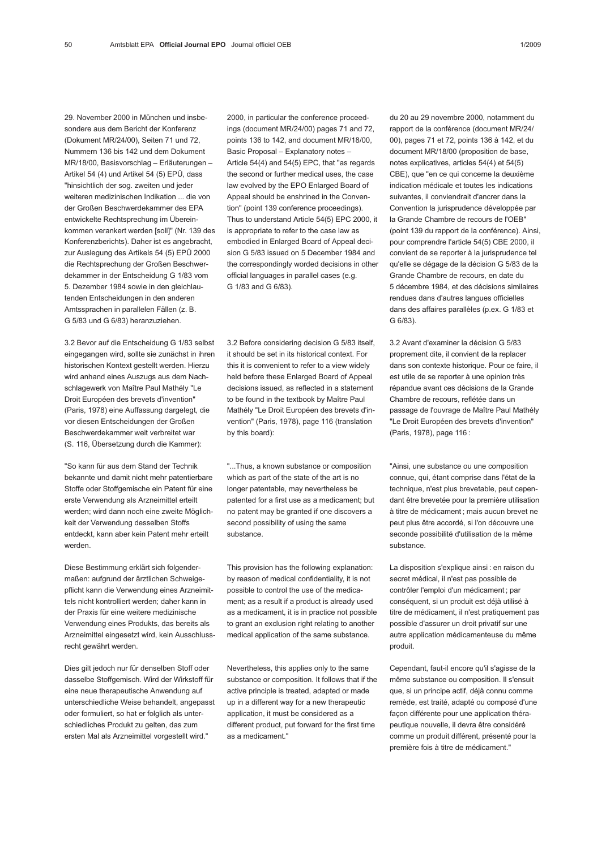29. November 2000 in München und insbesondere aus dem Bericht der Konferenz (Dokument MR/24/00), Seiten 71 und 72, Nummern 136 bis 142 und dem Dokument MR/18/00, Basisvorschlag – Erläuterungen – Artikel 54 (4) und Artikel 54 (5) EPÜ, dass "hinsichtlich der sog. zweiten und jeder weiteren medizinischen Indikation ... die von der Großen Beschwerdekammer des EPA entwickelte Rechtsprechung im Übereinkommen verankert werden [soll]" (Nr. 139 des Konferenzberichts). Daher ist es angebracht, zur Auslegung des Artikels 54 (5) EPÜ 2000 die Rechtsprechung der Großen Beschwerdekammer in der Entscheidung G 1/83 vom 5. Dezember 1984 sowie in den gleichlautenden Entscheidungen in den anderen Amtssprachen in parallelen Fällen (z. B. G 5/83 und G 6/83) heranzuziehen.

3.2 Bevor auf die Entscheidung G 1/83 selbst eingegangen wird, sollte sie zunächst in ihren historischen Kontext gestellt werden. Hierzu wird anhand eines Auszugs aus dem Nachschlagewerk von Maître Paul Mathély "Le Droit Européen des brevets d'invention" (Paris, 1978) eine Auffassung dargelegt, die vor diesen Entscheidungen der Großen Beschwerdekammer weit verbreitet war (S. 116, Übersetzung durch die Kammer):

"So kann für aus dem Stand der Technik bekannte und damit nicht mehr patentierbare Stoffe oder Stoffgemische ein Patent für eine erste Verwendung als Arzneimittel erteilt werden; wird dann noch eine zweite Möglichkeit der Verwendung desselben Stoffs entdeckt, kann aber kein Patent mehr erteilt werden.

Diese Bestimmung erklärt sich folgendermaßen: aufgrund der ärztlichen Schweigepflicht kann die Verwendung eines Arzneimittels nicht kontrolliert werden; daher kann in der Praxis für eine weitere medizinische Verwendung eines Produkts, das bereits als Arzneimittel eingesetzt wird, kein Ausschlussrecht gewährt werden.

Dies gilt jedoch nur für denselben Stoff oder dasselbe Stoffgemisch. Wird der Wirkstoff für eine neue therapeutische Anwendung auf unterschiedliche Weise behandelt, angepasst oder formuliert, so hat er folglich als unterschiedliches Produkt zu gelten, das zum ersten Mal als Arzneimittel vorgestellt wird."

2000, in particular the conference proceedings (document MR/24/00) pages 71 and 72, points 136 to 142, and document MR/18/00, Basic Proposal – Explanatory notes – Article 54(4) and 54(5) EPC, that "as regards the second or further medical uses, the case law evolved by the EPO Enlarged Board of Appeal should be enshrined in the Convention" (point 139 conference proceedings). Thus to understand Article 54(5) EPC 2000, it is appropriate to refer to the case law as embodied in Enlarged Board of Appeal decision G 5/83 issued on 5 December 1984 and the correspondingly worded decisions in other official languages in parallel cases (e.g. G 1/83 and G 6/83).

3.2 Before considering decision G 5/83 itself, it should be set in its historical context. For this it is convenient to refer to a view widely held before these Enlarged Board of Appeal decisions issued, as reflected in a statement to be found in the textbook by Maître Paul Mathély "Le Droit Européen des brevets d'invention" (Paris, 1978), page 116 (translation by this board):

"...Thus, a known substance or composition which as part of the state of the art is no longer patentable, may nevertheless be patented for a first use as a medicament; but no patent may be granted if one discovers a second possibility of using the same substance.

This provision has the following explanation: by reason of medical confidentiality, it is not possible to control the use of the medicament; as a result if a product is already used as a medicament, it is in practice not possible to grant an exclusion right relating to another medical application of the same substance.

Nevertheless, this applies only to the same substance or composition. It follows that if the active principle is treated, adapted or made up in a different way for a new therapeutic application, it must be considered as a different product, put forward for the first time as a medicament."

du 20 au 29 novembre 2000, notamment du rapport de la conférence (document MR/24/ 00), pages 71 et 72, points 136 à 142, et du document MR/18/00 (proposition de base, notes explicatives, articles 54(4) et 54(5) CBE), que "en ce qui concerne la deuxième indication médicale et toutes les indications suivantes, il conviendrait d'ancrer dans la Convention la jurisprudence développée par la Grande Chambre de recours de l'OEB" (point 139 du rapport de la conférence). Ainsi, pour comprendre l'article 54(5) CBE 2000, il convient de se reporter à la jurisprudence tel qu'elle se dégage de la décision G 5/83 de la Grande Chambre de recours, en date du 5 décembre 1984, et des décisions similaires rendues dans d'autres langues officielles dans des affaires parallèles (p.ex. G 1/83 et G 6/83).

3.2 Avant d'examiner la décision G 5/83 proprement dite, il convient de la replacer dans son contexte historique. Pour ce faire, il est utile de se reporter à une opinion très répandue avant ces décisions de la Grande Chambre de recours, reflétée dans un passage de l'ouvrage de Maître Paul Mathély "Le Droit Européen des brevets d'invention" (Paris, 1978), page 116 :

"Ainsi, une substance ou une composition connue, qui, étant comprise dans l'état de la technique, n'est plus brevetable, peut cependant être brevetée pour la première utilisation à titre de médicament ; mais aucun brevet ne peut plus être accordé, si l'on découvre une seconde possibilité d'utilisation de la même substance.

La disposition s'explique ainsi : en raison du secret médical, il n'est pas possible de contrôler l'emploi d'un médicament ; par conséquent, si un produit est déjà utilisé à titre de médicament, il n'est pratiquement pas possible d'assurer un droit privatif sur une autre application médicamenteuse du même produit.

Cependant, faut-il encore qu'il s'agisse de la même substance ou composition. Il s'ensuit que, si un principe actif, déjà connu comme remède, est traité, adapté ou composé d'une façon différente pour une application thérapeutique nouvelle, il devra être considéré comme un produit différent, présenté pour la première fois à titre de médicament."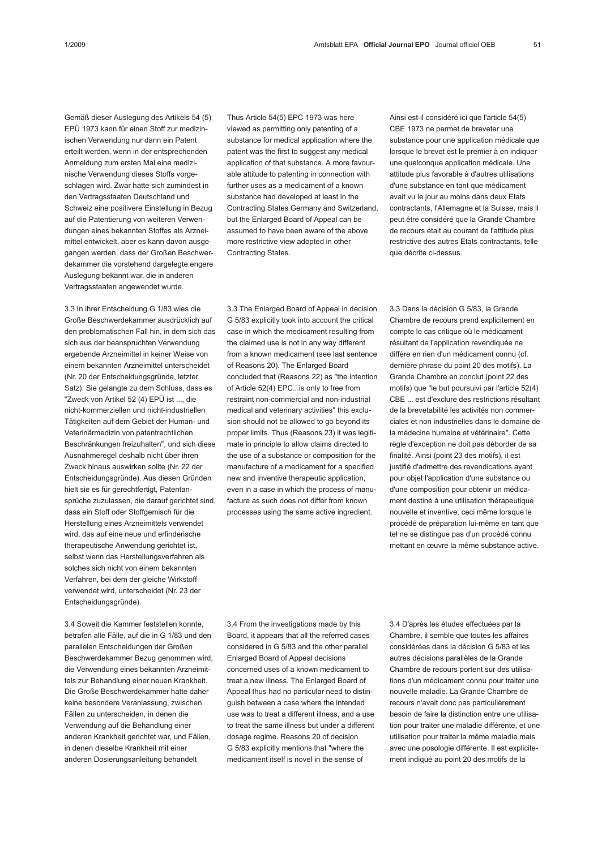Gemäß dieser Auslegung des Artikels 54 (5) EPÜ 1973 kann für einen Stoff zur medizinischen Verwendung nur dann ein Patent erteilt werden, wenn in der entsprechenden Anmeldung zum ersten Mal eine medizinische Verwendung dieses Stoffs vorgeschlagen wird. Zwar hatte sich zumindest in den Vertragsstaaten Deutschland und Schweiz eine positivere Einstellung in Bezug auf die Patentierung von weiteren Verwendungen eines bekannten Stoffes als Arzneimittel entwickelt, aber es kann davon ausgegangen werden, dass der Großen Beschwerdekammer die vorstehend dargelegte engere Auslegung bekannt war, die in anderen Vertragsstaaten angewendet wurde.

3.3 In ihrer Entscheidung G 1/83 wies die Große Beschwerdekammer ausdrücklich auf den problematischen Fall hin, in dem sich das sich aus der beanspruchten Verwendung ergebende Arzneimittel in keiner Weise von einem bekannten Arzneimittel unterscheidet (Nr. 20 der Entscheidungsgründe, letzter Satz). Sie gelangte zu dem Schluss, dass es "Zweck von Artikel 52 (4) EPÜ ist ..., die nicht-kommerziellen und nicht-industriellen Tätigkeiten auf dem Gebiet der Human- und Veterinärmedizin von patentrechtlichen Beschränkungen freizuhalten", und sich diese Ausnahmeregel deshalb nicht über ihren Zweck hinaus auswirken sollte (Nr. 22 der Entscheidungsgründe). Aus diesen Gründen hielt sie es für gerechtfertigt, Patentansprüche zuzulassen, die darauf gerichtet sind, dass ein Stoff oder Stoffgemisch für die Herstellung eines Arzneimittels verwendet wird, das auf eine neue und erfinderische therapeutische Anwendung gerichtet ist, selbst wenn das Herstellungsverfahren als solches sich nicht von einem bekannten Verfahren, bei dem der gleiche Wirkstoff verwendet wird, unterscheidet (Nr. 23 der Entscheidungsgründe).

3.4 Soweit die Kammer feststellen konnte, betrafen alle Fälle, auf die in G 1/83 und den parallelen Entscheidungen der Großen Beschwerdekammer Bezug genommen wird, die Verwendung eines bekannten Arzneimittels zur Behandlung einer neuen Krankheit. Die Große Beschwerdekammer hatte daher keine besondere Veranlassung, zwischen Fällen zu unterscheiden, in denen die Verwendung auf die Behandlung einer anderen Krankheit gerichtet war, und Fällen, in denen dieselbe Krankheit mit einer anderen Dosierungsanleitung behandelt

Thus Article 54(5) EPC 1973 was here viewed as permitting only patenting of a substance for medical application where the patent was the first to suggest any medical application of that substance. A more favourable attitude to patenting in connection with further uses as a medicament of a known substance had developed at least in the Contracting States Germany and Switzerland, but the Enlarged Board of Appeal can be assumed to have been aware of the above more restrictive view adopted in other Contracting States.

3.3 The Enlarged Board of Appeal in decision G 5/83 explicitly took into account the critical case in which the medicament resulting from the claimed use is not in any way different from a known medicament (see last sentence of Reasons 20). The Enlarged Board concluded that (Reasons 22) as "the intention of Article 52(4) EPC...is only to free from restraint non-commercial and non-industrial medical and veterinary activities" this exclusion should not be allowed to go beyond its proper limits. Thus (Reasons 23) it was legitimate in principle to allow claims directed to the use of a substance or composition for the manufacture of a medicament for a specified new and inventive therapeutic application, even in a case in which the process of manufacture as such does not differ from known processes using the same active ingredient.

Ainsi est-il considéré ici que l'article 54(5) CBE 1973 ne permet de breveter une substance pour une application médicale que lorsque le brevet est le premier à en indiquer une quelconque application médicale. Une attitude plus favorable à d'autres utilisations d'une substance en tant que médicament avait vu le jour au moins dans deux Etats contractants, l'Allemagne et la Suisse, mais il peut être considéré que la Grande Chambre de recours était au courant de l'attitude plus restrictive des autres Etats contractants, telle que décrite ci-dessus.

3.3 Dans la décision G 5/83, la Grande Chambre de recours prend explicitement en compte le cas critique où le médicament résultant de l'application revendiquée ne diffère en rien d'un médicament connu (cf. dernière phrase du point 20 des motifs). La Grande Chambre en conclut (point 22 des motifs) que "le but poursuivi par l'article 52(4) CBE ... est d'exclure des restrictions résultant de la brevetabilité les activités non commerciales et non industrielles dans le domaine de la médecine humaine et vétérinaire". Cette règle d'exception ne doit pas déborder de sa finalité. Ainsi (point 23 des motifs), il est justifié d'admettre des revendications ayant pour objet l'application d'une substance ou d'une composition pour obtenir un médicament destiné à une utilisation thérapeutique nouvelle et inventive, ceci même lorsque le procédé de préparation lui-même en tant que tel ne se distingue pas d'un procédé connu mettant en œuvre la même substance active.

3.4 From the investigations made by this Board, it appears that all the referred cases considered in G 5/83 and the other parallel Enlarged Board of Appeal decisions concerned uses of a known medicament to treat a new illness. The Enlarged Board of Appeal thus had no particular need to distinguish between a case where the intended use was to treat a different illness, and a use to treat the same illness but under a different dosage regime. Reasons 20 of decision G 5/83 explicitly mentions that "where the medicament itself is novel in the sense of

3.4 D'après les études effectuées par la Chambre, il semble que toutes les affaires considérées dans la décision G 5/83 et les autres décisions parallèles de la Grande Chambre de recours portent sur des utilisations d'un médicament connu pour traiter une nouvelle maladie. La Grande Chambre de recours n'avait donc pas particulièrement besoin de faire la distinction entre une utilisation pour traiter une maladie différente, et une utilisation pour traiter la même maladie mais avec une posologie différente. Il est explicitement indiqué au point 20 des motifs de la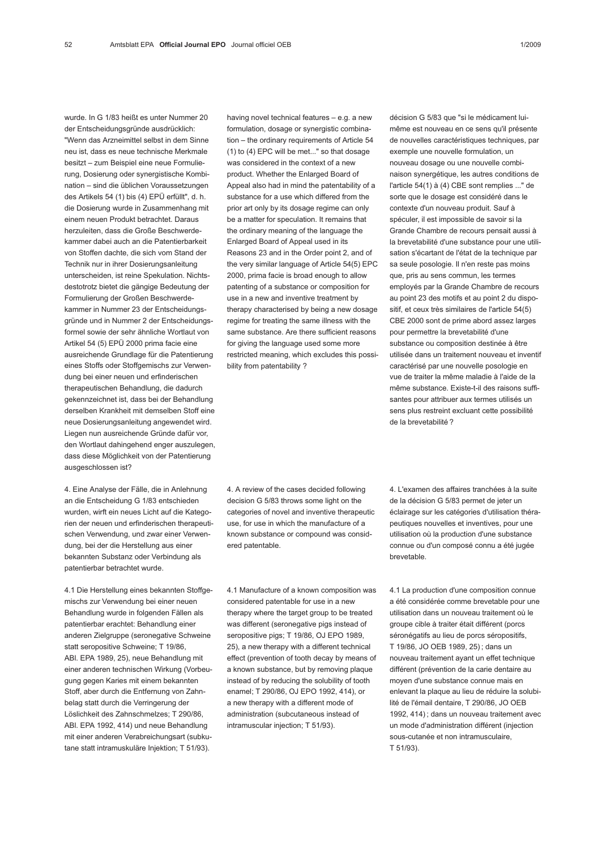wurde. In G 1/83 heißt es unter Nummer 20 der Entscheidungsgründe ausdrücklich: "Wenn das Arzneimittel selbst in dem Sinne neu ist, dass es neue technische Merkmale besitzt – zum Beispiel eine neue Formulierung, Dosierung oder synergistische Kombination – sind die üblichen Voraussetzungen des Artikels 54 (1) bis (4) EPÜ erfüllt", d. h. die Dosierung wurde in Zusammenhang mit einem neuen Produkt betrachtet. Daraus herzuleiten, dass die Große Beschwerdekammer dabei auch an die Patentierbarkeit von Stoffen dachte, die sich vom Stand der Technik nur in ihrer Dosierungsanleitung unterscheiden, ist reine Spekulation. Nichtsdestotrotz bietet die gängige Bedeutung der Formulierung der Großen Beschwerdekammer in Nummer 23 der Entscheidungsgründe und in Nummer 2 der Entscheidungsformel sowie der sehr ähnliche Wortlaut von Artikel 54 (5) EPÜ 2000 prima facie eine ausreichende Grundlage für die Patentierung eines Stoffs oder Stoffgemischs zur Verwendung bei einer neuen und erfinderischen therapeutischen Behandlung, die dadurch gekennzeichnet ist, dass bei der Behandlung derselben Krankheit mit demselben Stoff eine neue Dosierungsanleitung angewendet wird. Liegen nun ausreichende Gründe dafür vor, den Wortlaut dahingehend enger auszulegen, dass diese Möglichkeit von der Patentierung ausgeschlossen ist?

4. Eine Analyse der Fälle, die in Anlehnung an die Entscheidung G 1/83 entschieden wurden, wirft ein neues Licht auf die Kategorien der neuen und erfinderischen therapeutischen Verwendung, und zwar einer Verwendung, bei der die Herstellung aus einer bekannten Substanz oder Verbindung als patentierbar betrachtet wurde.

4.1 Die Herstellung eines bekannten Stoffgemischs zur Verwendung bei einer neuen Behandlung wurde in folgenden Fällen als patentierbar erachtet: Behandlung einer anderen Zielgruppe (seronegative Schweine statt seropositive Schweine; T 19/86, ABl. EPA 1989, 25), neue Behandlung mit einer anderen technischen Wirkung (Vorbeugung gegen Karies mit einem bekannten Stoff, aber durch die Entfernung von Zahnbelag statt durch die Verringerung der Löslichkeit des Zahnschmelzes; T 290/86, ABl. EPA 1992, 414) und neue Behandlung mit einer anderen Verabreichungsart (subkutane statt intramuskuläre Injektion; T 51/93).

having novel technical features  $-$  e.g. a new formulation, dosage or synergistic combination – the ordinary requirements of Article 54 (1) to (4) EPC will be met..." so that dosage was considered in the context of a new product. Whether the Enlarged Board of Appeal also had in mind the patentability of a substance for a use which differed from the prior art only by its dosage regime can only be a matter for speculation. It remains that the ordinary meaning of the language the Enlarged Board of Appeal used in its Reasons 23 and in the Order point 2, and of the very similar language of Article 54(5) EPC 2000, prima facie is broad enough to allow patenting of a substance or composition for use in a new and inventive treatment by therapy characterised by being a new dosage regime for treating the same illness with the same substance. Are there sufficient reasons for giving the language used some more restricted meaning, which excludes this possibility from patentability ?

4. A review of the cases decided following decision G 5/83 throws some light on the categories of novel and inventive therapeutic use, for use in which the manufacture of a known substance or compound was considered patentable.

4.1 Manufacture of a known composition was considered patentable for use in a new therapy where the target group to be treated was different (seronegative pigs instead of seropositive pigs; T 19/86, OJ EPO 1989, 25), a new therapy with a different technical effect (prevention of tooth decay by means of a known substance, but by removing plaque instead of by reducing the solubility of tooth enamel; T 290/86, OJ EPO 1992, 414), or a new therapy with a different mode of administration (subcutaneous instead of intramuscular injection; T 51/93).

décision G 5/83 que "si le médicament luimême est nouveau en ce sens qu'il présente de nouvelles caractéristiques techniques, par exemple une nouvelle formulation, un nouveau dosage ou une nouvelle combinaison synergétique, les autres conditions de l'article 54(1) à (4) CBE sont remplies ..." de sorte que le dosage est considéré dans le contexte d'un nouveau produit. Sauf à spéculer, il est impossible de savoir si la Grande Chambre de recours pensait aussi à la brevetabilité d'une substance pour une utilisation s'écartant de l'état de la technique par sa seule posologie. Il n'en reste pas moins que, pris au sens commun, les termes employés par la Grande Chambre de recours au point 23 des motifs et au point 2 du dispositif, et ceux très similaires de l'article 54(5) CBE 2000 sont de prime abord assez larges pour permettre la brevetabilité d'une substance ou composition destinée à être utilisée dans un traitement nouveau et inventif caractérisé par une nouvelle posologie en vue de traiter la même maladie à l'aide de la même substance. Existe-t-il des raisons suffisantes pour attribuer aux termes utilisés un sens plus restreint excluant cette possibilité de la brevetabilité ?

4. L'examen des affaires tranchées à la suite de la décision G 5/83 permet de jeter un éclairage sur les catégories d'utilisation thérapeutiques nouvelles et inventives, pour une utilisation où la production d'une substance connue ou d'un composé connu a été jugée brevetable.

4.1 La production d'une composition connue a été considérée comme brevetable pour une utilisation dans un nouveau traitement où le groupe cible à traiter était différent (porcs séronégatifs au lieu de porcs séropositifs, T 19/86, JO OEB 1989, 25) ; dans un nouveau traitement ayant un effet technique différent (prévention de la carie dentaire au moyen d'une substance connue mais en enlevant la plaque au lieu de réduire la solubilité de l'émail dentaire, T 290/86, JO OEB 1992, 414) ; dans un nouveau traitement avec un mode d'administration différent (injection sous-cutanée et non intramusculaire, T 51/93).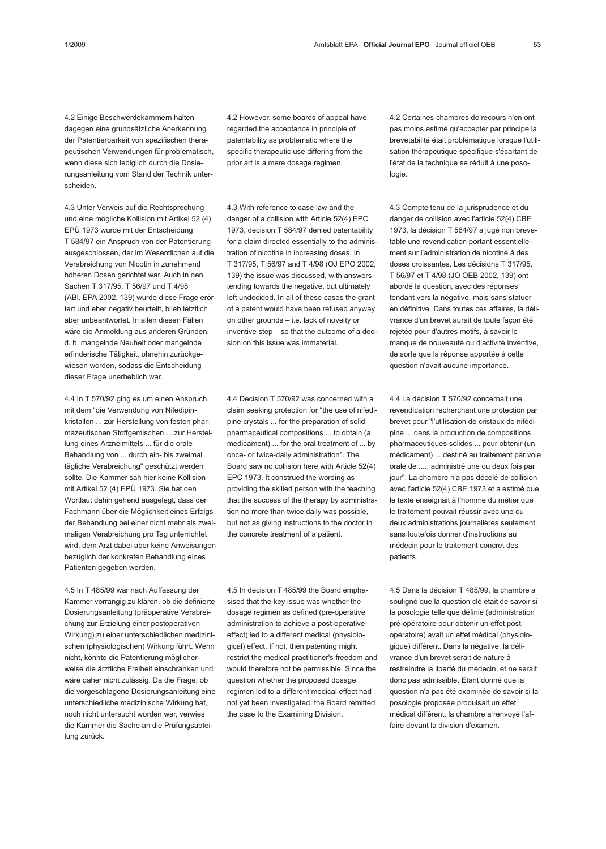4.2 Einige Beschwerdekammern halten dagegen eine grundsätzliche Anerkennung der Patentierbarkeit von spezifischen therapeutischen Verwendungen für problematisch, wenn diese sich lediglich durch die Dosierungsanleitung vom Stand der Technik unterscheiden.

4.3 Unter Verweis auf die Rechtsprechung und eine mögliche Kollision mit Artikel 52 (4) EPÜ 1973 wurde mit der Entscheidung T 584/97 ein Anspruch von der Patentierung ausgeschlossen, der im Wesentlichen auf die Verabreichung von Nicotin in zunehmend höheren Dosen gerichtet war. Auch in den Sachen T 317/95, T 56/97 und T 4/98 (ABl. EPA 2002, 139) wurde diese Frage erörtert und eher negativ beurteilt, blieb letztlich aber unbeantwortet. In allen diesen Fällen wäre die Anmeldung aus anderen Gründen, d. h. mangelnde Neuheit oder mangelnde erfinderische Tätigkeit, ohnehin zurückgewiesen worden, sodass die Entscheidung dieser Frage unerheblich war.

4.4 In T 570/92 ging es um einen Anspruch, mit dem "die Verwendung von Nifedipinkristallen ... zur Herstellung von festen pharmazeutischen Stoffgemischen ... zur Herstellung eines Arzneimittels ... für die orale Behandlung von ... durch ein- bis zweimal tägliche Verabreichung" geschützt werden sollte. Die Kammer sah hier keine Kollision mit Artikel 52 (4) EPÜ 1973. Sie hat den Wortlaut dahin gehend ausgelegt, dass der Fachmann über die Möglichkeit eines Erfolgs der Behandlung bei einer nicht mehr als zweimaligen Verabreichung pro Tag unterrichtet wird, dem Arzt dabei aber keine Anweisungen bezüglich der konkreten Behandlung eines Patienten gegeben werden.

4.5 In T 485/99 war nach Auffassung der Kammer vorrangig zu klären, ob die definierte Dosierungsanleitung (präoperative Verabreichung zur Erzielung einer postoperativen Wirkung) zu einer unterschiedlichen medizinischen (physiologischen) Wirkung führt. Wenn nicht, könnte die Patentierung möglicherweise die ärztliche Freiheit einschränken und wäre daher nicht zulässig. Da die Frage, ob die vorgeschlagene Dosierungsanleitung eine unterschiedliche medizinische Wirkung hat, noch nicht untersucht worden war, verwies die Kammer die Sache an die Prüfungsabteilung zurück.

4.2 However, some boards of appeal have regarded the acceptance in principle of patentability as problematic where the specific therapeutic use differing from the prior art is a mere dosage regimen.

4.3 With reference to case law and the danger of a collision with Article 52(4) EPC 1973, decision T 584/97 denied patentability for a claim directed essentially to the administration of nicotine in increasing doses. In T 317/95, T 56/97 and T 4/98 (OJ EPO 2002, 139) the issue was discussed, with answers tending towards the negative, but ultimately left undecided. In all of these cases the grant of a patent would have been refused anyway on other grounds – i.e. lack of novelty or inventive step – so that the outcome of a decision on this issue was immaterial.

4.4 Decision T 570/92 was concerned with a claim seeking protection for "the use of nifedipine crystals ... for the preparation of solid pharmaceutical compositions ... to obtain (a medicament) ... for the oral treatment of ... by once- or twice-daily administration". The Board saw no collision here with Article 52(4) EPC 1973. It construed the wording as providing the skilled person with the teaching that the success of the therapy by administration no more than twice daily was possible, but not as giving instructions to the doctor in the concrete treatment of a patient.

4.5 In decision T 485/99 the Board emphasised that the key issue was whether the dosage regimen as defined (pre-operative administration to achieve a post-operative effect) led to a different medical (physiological) effect. If not, then patenting might restrict the medical practitioner's freedom and would therefore not be permissible. Since the question whether the proposed dosage regimen led to a different medical effect had not yet been investigated, the Board remitted the case to the Examining Division.

4.2 Certaines chambres de recours n'en ont pas moins estimé qu'accepter par principe la brevetabilité était problématique lorsque l'utilisation thérapeutique spécifique s'écartant de l'état de la technique se réduit à une posologie.

4.3 Compte tenu de la jurisprudence et du danger de collision avec l'article 52(4) CBE 1973, la décision T 584/97 a jugé non brevetable une revendication portant essentiellement sur l'administration de nicotine à des doses croissantes. Les décisions T 317/95, T 56/97 et T 4/98 (JO OEB 2002, 139) ont abordé la question, avec des réponses tendant vers la négative, mais sans statuer en définitive. Dans toutes ces affaires, la délivrance d'un brevet aurait de toute façon été rejetée pour d'autres motifs, à savoir le manque de nouveauté ou d'activité inventive, de sorte que la réponse apportée à cette question n'avait aucune importance.

4.4 La décision T 570/92 concernait une revendication recherchant une protection par brevet pour "l'utilisation de cristaux de nifédipine ... dans la production de compositions pharmaceutiques solides ... pour obtenir (un médicament) ... destiné au traitement par voie orale de ...., administré une ou deux fois par jour". La chambre n'a pas décelé de collision avec l'article 52(4) CBE 1973 et a estimé que le texte enseignait à l'homme du métier que le traitement pouvait réussir avec une ou deux administrations journalières seulement, sans toutefois donner d'instructions au médecin pour le traitement concret des patients.

4.5 Dans la décision T 485/99, la chambre a souligné que la question clé était de savoir si la posologie telle que définie (administration pré-opératoire pour obtenir un effet postopératoire) avait un effet médical (physiologique) différent. Dans la négative, la délivrance d'un brevet serait de nature à restreindre la liberté du médecin, et ne serait donc pas admissible. Etant donné que la question n'a pas été examinée de savoir si la posologie proposée produisait un effet médical différent, la chambre a renvoyé l'affaire devant la division d'examen.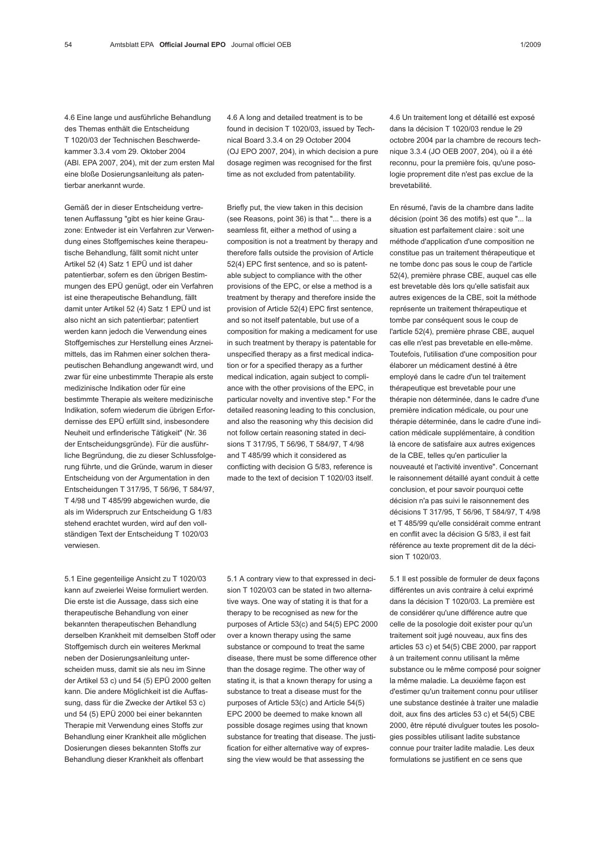4.6 Eine lange und ausführliche Behandlung des Themas enthält die Entscheidung T 1020/03 der Technischen Beschwerdekammer 3.3.4 vom 29. Oktober 2004 (ABl. EPA 2007, 204), mit der zum ersten Mal eine bloße Dosierungsanleitung als patentierbar anerkannt wurde.

Gemäß der in dieser Entscheidung vertretenen Auffassung "gibt es hier keine Grauzone: Entweder ist ein Verfahren zur Verwendung eines Stoffgemisches keine therapeutische Behandlung, fällt somit nicht unter Artikel 52 (4) Satz 1 EPÜ und ist daher patentierbar, sofern es den übrigen Bestimmungen des EPÜ genügt, oder ein Verfahren ist eine therapeutische Behandlung, fällt damit unter Artikel 52 (4) Satz 1 EPÜ und ist also nicht an sich patentierbar; patentiert werden kann jedoch die Verwendung eines Stoffgemisches zur Herstellung eines Arzneimittels, das im Rahmen einer solchen therapeutischen Behandlung angewandt wird, und zwar für eine unbestimmte Therapie als erste medizinische Indikation oder für eine bestimmte Therapie als weitere medizinische Indikation, sofern wiederum die übrigen Erfordernisse des EPÜ erfüllt sind, insbesondere Neuheit und erfinderische Tätigkeit" (Nr. 36 der Entscheidungsgründe). Für die ausführliche Begründung, die zu dieser Schlussfolgerung führte, und die Gründe, warum in dieser Entscheidung von der Argumentation in den Entscheidungen T 317/95, T 56/96, T 584/97, T 4/98 und T 485/99 abgewichen wurde, die als im Widerspruch zur Entscheidung G 1/83 stehend erachtet wurden, wird auf den vollständigen Text der Entscheidung T 1020/03 verwiesen.

5.1 Eine gegenteilige Ansicht zu T 1020/03 kann auf zweierlei Weise formuliert werden. Die erste ist die Aussage, dass sich eine therapeutische Behandlung von einer bekannten therapeutischen Behandlung derselben Krankheit mit demselben Stoff oder Stoffgemisch durch ein weiteres Merkmal neben der Dosierungsanleitung unterscheiden muss, damit sie als neu im Sinne der Artikel 53 c) und 54 (5) EPÜ 2000 gelten kann. Die andere Möglichkeit ist die Auffassung, dass für die Zwecke der Artikel 53 c) und 54 (5) EPÜ 2000 bei einer bekannten Therapie mit Verwendung eines Stoffs zur Behandlung einer Krankheit alle möglichen Dosierungen dieses bekannten Stoffs zur Behandlung dieser Krankheit als offenbart

4.6 A long and detailed treatment is to be found in decision T 1020/03, issued by Technical Board 3.3.4 on 29 October 2004 (OJ EPO 2007, 204), in which decision a pure dosage regimen was recognised for the first time as not excluded from patentability.

Briefly put, the view taken in this decision (see Reasons, point 36) is that "... there is a seamless fit, either a method of using a composition is not a treatment by therapy and therefore falls outside the provision of Article 52(4) EPC first sentence, and so is patentable subject to compliance with the other provisions of the EPC, or else a method is a treatment by therapy and therefore inside the provision of Article 52(4) EPC first sentence, and so not itself patentable, but use of a composition for making a medicament for use in such treatment by therapy is patentable for unspecified therapy as a first medical indication or for a specified therapy as a further medical indication, again subject to compliance with the other provisions of the EPC, in particular novelty and inventive step." For the detailed reasoning leading to this conclusion, and also the reasoning why this decision did not follow certain reasoning stated in decisions T 317/95, T 56/96, T 584/97, T 4/98 and T 485/99 which it considered as conflicting with decision G 5/83, reference is made to the text of decision T 1020/03 itself.

5.1 A contrary view to that expressed in decision T 1020/03 can be stated in two alternative ways. One way of stating it is that for a therapy to be recognised as new for the purposes of Article 53(c) and 54(5) EPC 2000 over a known therapy using the same substance or compound to treat the same disease, there must be some difference other than the dosage regime. The other way of stating it, is that a known therapy for using a substance to treat a disease must for the purposes of Article 53(c) and Article 54(5) EPC 2000 be deemed to make known all possible dosage regimes using that known substance for treating that disease. The justification for either alternative way of expressing the view would be that assessing the

4.6 Un traitement long et détaillé est exposé dans la décision T 1020/03 rendue le 29 octobre 2004 par la chambre de recours technique 3.3.4 (JO OEB 2007, 204), où il a été reconnu, pour la première fois, qu'une posologie proprement dite n'est pas exclue de la brevetabilité.

En résumé, l'avis de la chambre dans ladite décision (point 36 des motifs) est que "... la situation est parfaitement claire : soit une méthode d'application d'une composition ne constitue pas un traitement thérapeutique et ne tombe donc pas sous le coup de l'article 52(4), première phrase CBE, auquel cas elle est brevetable dès lors qu'elle satisfait aux autres exigences de la CBE, soit la méthode représente un traitement thérapeutique et tombe par conséquent sous le coup de l'article 52(4), première phrase CBE, auquel cas elle n'est pas brevetable en elle-même. Toutefois, l'utilisation d'une composition pour élaborer un médicament destiné à être employé dans le cadre d'un tel traitement thérapeutique est brevetable pour une thérapie non déterminée, dans le cadre d'une première indication médicale, ou pour une thérapie déterminée, dans le cadre d'une indication médicale supplémentaire, à condition là encore de satisfaire aux autres exigences de la CBE, telles qu'en particulier la nouveauté et l'activité inventive". Concernant le raisonnement détaillé ayant conduit à cette conclusion, et pour savoir pourquoi cette décision n'a pas suivi le raisonnement des décisions T 317/95, T 56/96, T 584/97, T 4/98 et T 485/99 qu'elle considérait comme entrant en conflit avec la décision G 5/83, il est fait référence au texte proprement dit de la décision T 1020/03.

5.1 Il est possible de formuler de deux façons différentes un avis contraire à celui exprimé dans la décision T 1020/03. La première est de considérer qu'une différence autre que celle de la posologie doit exister pour qu'un traitement soit jugé nouveau, aux fins des articles 53 c) et 54(5) CBE 2000, par rapport à un traitement connu utilisant la même substance ou le même composé pour soigner la même maladie. La deuxième façon est d'estimer qu'un traitement connu pour utiliser une substance destinée à traiter une maladie doit, aux fins des articles 53 c) et 54(5) CBE 2000, être réputé divulguer toutes les posologies possibles utilisant ladite substance connue pour traiter ladite maladie. Les deux formulations se justifient en ce sens que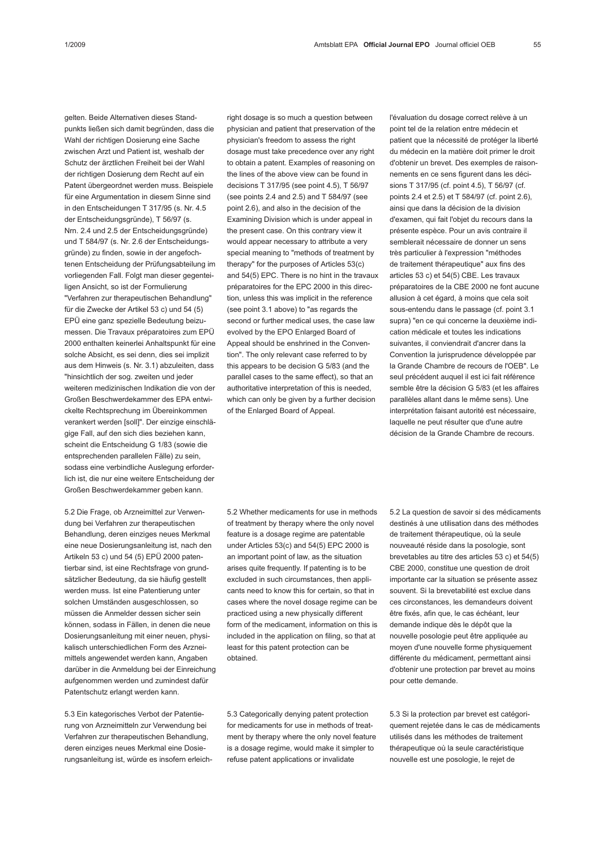gelten. Beide Alternativen dieses Standpunkts ließen sich damit begründen, dass die Wahl der richtigen Dosierung eine Sache zwischen Arzt und Patient ist, weshalb der Schutz der ärztlichen Freiheit bei der Wahl der richtigen Dosierung dem Recht auf ein Patent übergeordnet werden muss. Beispiele für eine Argumentation in diesem Sinne sind in den Entscheidungen T 317/95 (s. Nr. 4.5 der Entscheidungsgründe), T 56/97 (s. Nrn. 2.4 und 2.5 der Entscheidungsgründe) und T 584/97 (s. Nr. 2.6 der Entscheidungsgründe) zu finden, sowie in der angefochtenen Entscheidung der Prüfungsabteilung im vorliegenden Fall. Folgt man dieser gegenteiligen Ansicht, so ist der Formulierung "Verfahren zur therapeutischen Behandlung" für die Zwecke der Artikel 53 c) und 54 (5) EPÜ eine ganz spezielle Bedeutung beizumessen. Die Travaux préparatoires zum EPÜ 2000 enthalten keinerlei Anhaltspunkt für eine solche Absicht, es sei denn, dies sei implizit aus dem Hinweis (s. Nr. 3.1) abzuleiten, dass "hinsichtlich der sog. zweiten und jeder weiteren medizinischen Indikation die von der Großen Beschwerdekammer des EPA entwickelte Rechtsprechung im Übereinkommen verankert werden [soll]". Der einzige einschlägige Fall, auf den sich dies beziehen kann, scheint die Entscheidung G 1/83 (sowie die entsprechenden parallelen Fälle) zu sein, sodass eine verbindliche Auslegung erforderlich ist, die nur eine weitere Entscheidung der

5.2 Die Frage, ob Arzneimittel zur Verwendung bei Verfahren zur therapeutischen Behandlung, deren einziges neues Merkmal eine neue Dosierungsanleitung ist, nach den Artikeln 53 c) und 54 (5) EPÜ 2000 patentierbar sind, ist eine Rechtsfrage von grundsätzlicher Bedeutung, da sie häufig gestellt werden muss. Ist eine Patentierung unter solchen Umständen ausgeschlossen, so müssen die Anmelder dessen sicher sein können, sodass in Fällen, in denen die neue Dosierungsanleitung mit einer neuen, physikalisch unterschiedlichen Form des Arzneimittels angewendet werden kann, Angaben darüber in die Anmeldung bei der Einreichung aufgenommen werden und zumindest dafür Patentschutz erlangt werden kann.

Großen Beschwerdekammer geben kann.

5.3 Ein kategorisches Verbot der Patentierung von Arzneimitteln zur Verwendung bei Verfahren zur therapeutischen Behandlung, deren einziges neues Merkmal eine Dosierungsanleitung ist, würde es insofern erleichright dosage is so much a question between physician and patient that preservation of the physician's freedom to assess the right dosage must take precedence over any right to obtain a patent. Examples of reasoning on the lines of the above view can be found in decisions T 317/95 (see point 4.5), T 56/97 (see points 2.4 and 2.5) and T 584/97 (see point 2.6), and also in the decision of the Examining Division which is under appeal in the present case. On this contrary view it would appear necessary to attribute a very special meaning to "methods of treatment by therapy" for the purposes of Articles 53(c) and 54(5) EPC. There is no hint in the travaux préparatoires for the EPC 2000 in this direction, unless this was implicit in the reference (see point 3.1 above) to "as regards the second or further medical uses, the case law evolved by the EPO Enlarged Board of Appeal should be enshrined in the Convention". The only relevant case referred to by this appears to be decision G 5/83 (and the parallel cases to the same effect), so that an authoritative interpretation of this is needed, which can only be given by a further decision of the Enlarged Board of Appeal.

5.2 Whether medicaments for use in methods of treatment by therapy where the only novel feature is a dosage regime are patentable under Articles 53(c) and 54(5) EPC 2000 is an important point of law, as the situation arises quite frequently. If patenting is to be excluded in such circumstances, then applicants need to know this for certain, so that in cases where the novel dosage regime can be practiced using a new physically different form of the medicament, information on this is included in the application on filing, so that at least for this patent protection can be obtained.

5.3 Categorically denying patent protection for medicaments for use in methods of treatment by therapy where the only novel feature is a dosage regime, would make it simpler to refuse patent applications or invalidate

5.2 La question de savoir si des médicaments destinés à une utilisation dans des méthodes de traitement thérapeutique, où la seule nouveauté réside dans la posologie, sont brevetables au titre des articles 53 c) et 54(5) CBE 2000, constitue une question de droit importante car la situation se présente assez souvent. Si la brevetabilité est exclue dans ces circonstances, les demandeurs doivent être fixés, afin que, le cas échéant, leur demande indique dès le dépôt que la nouvelle posologie peut être appliquée au moyen d'une nouvelle forme physiquement différente du médicament, permettant ainsi d'obtenir une protection par brevet au moins pour cette demande.

5.3 Si la protection par brevet est catégoriquement rejetée dans le cas de médicaments utilisés dans les méthodes de traitement thérapeutique où la seule caractéristique nouvelle est une posologie, le rejet de

l'évaluation du dosage correct relève à un point tel de la relation entre médecin et patient que la nécessité de protéger la liberté du médecin en la matière doit primer le droit d'obtenir un brevet. Des exemples de raisonnements en ce sens figurent dans les décisions T 317/95 (cf. point 4.5), T 56/97 (cf. points 2.4 et 2.5) et T 584/97 (cf. point 2.6), ainsi que dans la décision de la division d'examen, qui fait l'objet du recours dans la présente espèce. Pour un avis contraire il semblerait nécessaire de donner un sens très particulier à l'expression "méthodes de traitement thérapeutique" aux fins des articles 53 c) et 54(5) CBE. Les travaux préparatoires de la CBE 2000 ne font aucune allusion à cet égard, à moins que cela soit sous-entendu dans le passage (cf. point 3.1 supra) "en ce qui concerne la deuxième indication médicale et toutes les indications suivantes, il conviendrait d'ancrer dans la Convention la jurisprudence développée par la Grande Chambre de recours de l'OEB". Le seul précédent auquel il est ici fait référence semble être la décision G 5/83 (et les affaires parallèles allant dans le même sens). Une interprétation faisant autorité est nécessaire, laquelle ne peut résulter que d'une autre décision de la Grande Chambre de recours.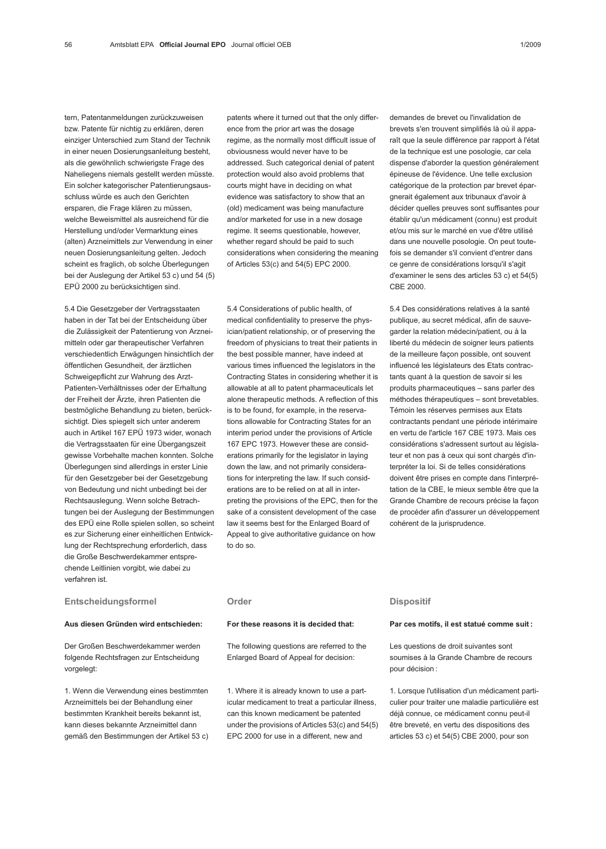tern, Patentanmeldungen zurückzuweisen bzw. Patente für nichtig zu erklären, deren einziger Unterschied zum Stand der Technik in einer neuen Dosierungsanleitung besteht, als die gewöhnlich schwierigste Frage des Naheliegens niemals gestellt werden müsste. Ein solcher kategorischer Patentierungsausschluss würde es auch den Gerichten ersparen, die Frage klären zu müssen, welche Beweismittel als ausreichend für die Herstellung und/oder Vermarktung eines (alten) Arzneimittels zur Verwendung in einer neuen Dosierungsanleitung gelten. Jedoch scheint es fraglich, ob solche Überlegungen bei der Auslegung der Artikel 53 c) und 54 (5) EPÜ 2000 zu berücksichtigen sind.

5.4 Die Gesetzgeber der Vertragsstaaten haben in der Tat bei der Entscheidung über die Zulässigkeit der Patentierung von Arzneimitteln oder gar therapeutischer Verfahren verschiedentlich Erwägungen hinsichtlich der öffentlichen Gesundheit, der ärztlichen Schweigepflicht zur Wahrung des Arzt-Patienten-Verhältnisses oder der Erhaltung der Freiheit der Ärzte, ihren Patienten die bestmögliche Behandlung zu bieten, berücksichtigt. Dies spiegelt sich unter anderem auch in Artikel 167 EPÜ 1973 wider, wonach die Vertragsstaaten für eine Übergangszeit gewisse Vorbehalte machen konnten. Solche Überlegungen sind allerdings in erster Linie für den Gesetzgeber bei der Gesetzgebung von Bedeutung und nicht unbedingt bei der Rechtsauslegung. Wenn solche Betrachtungen bei der Auslegung der Bestimmungen des EPÜ eine Rolle spielen sollen, so scheint es zur Sicherung einer einheitlichen Entwicklung der Rechtsprechung erforderlich, dass die Große Beschwerdekammer entsprechende Leitlinien vorgibt, wie dabei zu verfahren ist.

## Entscheidungsformel

### Aus diesen Gründen wird entschieden:

Der Großen Beschwerdekammer werden folgende Rechtsfragen zur Entscheidung vorgelegt:

1. Wenn die Verwendung eines bestimmten Arzneimittels bei der Behandlung einer bestimmten Krankheit bereits bekannt ist, kann dieses bekannte Arzneimittel dann gemäß den Bestimmungen der Artikel 53 c) patents where it turned out that the only difference from the prior art was the dosage regime, as the normally most difficult issue of obviousness would never have to be addressed. Such categorical denial of patent protection would also avoid problems that courts might have in deciding on what evidence was satisfactory to show that an (old) medicament was being manufacture and/or marketed for use in a new dosage regime. It seems questionable, however, whether regard should be paid to such considerations when considering the meaning of Articles 53(c) and 54(5) EPC 2000.

5.4 Considerations of public health, of medical confidentiality to preserve the physician/patient relationship, or of preserving the freedom of physicians to treat their patients in the best possible manner, have indeed at various times influenced the legislators in the Contracting States in considering whether it is allowable at all to patent pharmaceuticals let alone therapeutic methods. A reflection of this is to be found, for example, in the reservations allowable for Contracting States for an interim period under the provisions of Article 167 EPC 1973. However these are considerations primarily for the legislator in laying down the law, and not primarily considerations for interpreting the law. If such considerations are to be relied on at all in interpreting the provisions of the EPC, then for the sake of a consistent development of the case law it seems best for the Enlarged Board of Appeal to give authoritative guidance on how to do so.

demandes de brevet ou l'invalidation de brevets s'en trouvent simplifiés là où il apparaît que la seule différence par rapport à l'état de la technique est une posologie, car cela dispense d'aborder la question généralement épineuse de l'évidence. Une telle exclusion catégorique de la protection par brevet épargnerait également aux tribunaux d'avoir à décider quelles preuves sont suffisantes pour établir qu'un médicament (connu) est produit et/ou mis sur le marché en vue d'être utilisé dans une nouvelle posologie. On peut toutefois se demander s'il convient d'entrer dans ce genre de considérations lorsqu'il s'agit d'examiner le sens des articles 53 c) et 54(5) CBE 2000.

5.4 Des considérations relatives à la santé publique, au secret médical, afin de sauvegarder la relation médecin/patient, ou à la liberté du médecin de soigner leurs patients de la meilleure façon possible, ont souvent influencé les législateurs des Etats contractants quant à la question de savoir si les produits pharmaceutiques – sans parler des méthodes thérapeutiques – sont brevetables. Témoin les réserves permises aux Etats contractants pendant une période intérimaire en vertu de l'article 167 CBE 1973. Mais ces considérations s'adressent surtout au législateur et non pas à ceux qui sont chargés d'interpréter la loi. Si de telles considérations doivent être prises en compte dans l'interprétation de la CBE, le mieux semble être que la Grande Chambre de recours précise la façon de procéder afin d'assurer un développement cohérent de la jurisprudence.

## Order

### For these reasons it is decided that:

The following questions are referred to the Enlarged Board of Appeal for decision:

1. Where it is already known to use a particular medicament to treat a particular illness, can this known medicament be patented under the provisions of Articles 53(c) and 54(5) EPC 2000 for use in a different, new and

### **Dispositif**

## Par ces motifs, il est statué comme suit :

Les questions de droit suivantes sont soumises à la Grande Chambre de recours pour décision :

1. Lorsque l'utilisation d'un médicament particulier pour traiter une maladie particulière est déjà connue, ce médicament connu peut-il être breveté, en vertu des dispositions des articles 53 c) et 54(5) CBE 2000, pour son